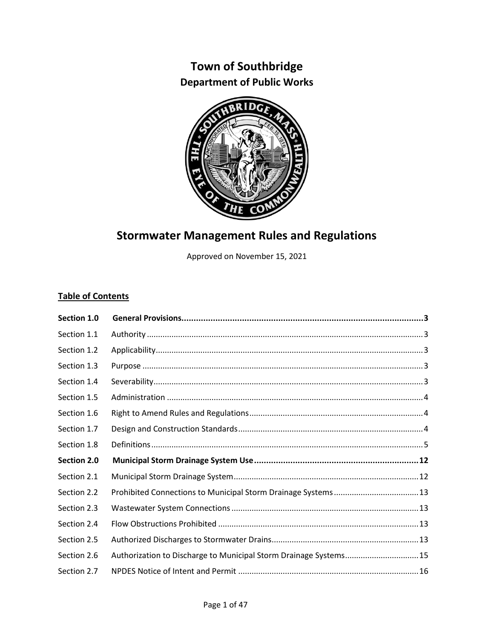# **Town of Southbridge Department of Public Works**



# **Stormwater Management Rules and Regulations**

Approved on November 15, 2021

# **Table of Contents**

| Section 1.0 |                                                                   |
|-------------|-------------------------------------------------------------------|
| Section 1.1 |                                                                   |
| Section 1.2 |                                                                   |
| Section 1.3 |                                                                   |
| Section 1.4 |                                                                   |
| Section 1.5 |                                                                   |
| Section 1.6 |                                                                   |
| Section 1.7 |                                                                   |
| Section 1.8 |                                                                   |
| Section 2.0 |                                                                   |
| Section 2.1 |                                                                   |
| Section 2.2 |                                                                   |
| Section 2.3 |                                                                   |
| Section 2.4 |                                                                   |
| Section 2.5 |                                                                   |
| Section 2.6 | Authorization to Discharge to Municipal Storm Drainage Systems 15 |
| Section 2.7 |                                                                   |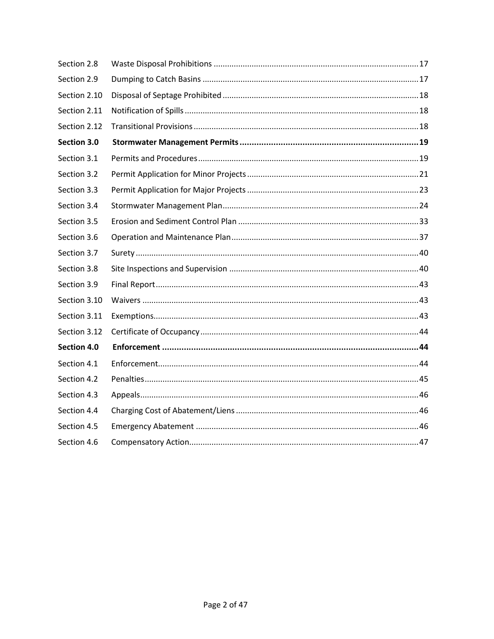| Section 2.8  |  |
|--------------|--|
| Section 2.9  |  |
| Section 2.10 |  |
| Section 2.11 |  |
| Section 2.12 |  |
| Section 3.0  |  |
| Section 3.1  |  |
| Section 3.2  |  |
| Section 3.3  |  |
| Section 3.4  |  |
| Section 3.5  |  |
| Section 3.6  |  |
| Section 3.7  |  |
| Section 3.8  |  |
| Section 3.9  |  |
| Section 3.10 |  |
| Section 3.11 |  |
| Section 3.12 |  |
| Section 4.0  |  |
| Section 4.1  |  |
| Section 4.2  |  |
| Section 4.3  |  |
| Section 4.4  |  |
| Section 4.5  |  |
| Section 4.6  |  |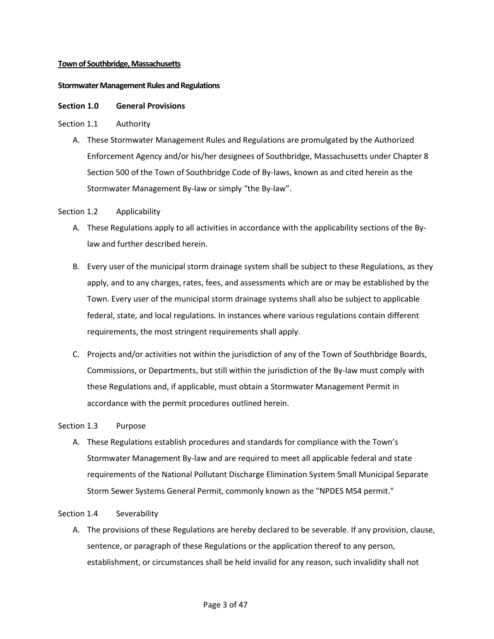#### **Town of Southbridge, Massachusetts**

#### **Stormwater Management Rules and Regulations**

#### <span id="page-2-0"></span>**Section 1.0 General Provisions**

#### <span id="page-2-1"></span>Section 1.1 Authority

A. These Stormwater Management Rules and Regulations are promulgated by the Authorized Enforcement Agency and/or his/her designees of Southbridge, Massachusetts under Chapter 8 Section 500 of the Town of Southbridge Code of By-laws, known as and cited herein as the Stormwater Management By-law or simply "the By-law".

# <span id="page-2-2"></span>Section 1.2 Applicability

- A. These Regulations apply to all activities in accordance with the applicability sections of the Bylaw and further described herein.
- B. Every user of the municipal storm drainage system shall be subject to these Regulations, as they apply, and to any charges, rates, fees, and assessments which are or may be established by the Town. Every user of the municipal storm drainage systems shall also be subject to applicable federal, state, and local regulations. In instances where various regulations contain different requirements, the most stringent requirements shall apply.
- C. Projects and/or activities not within the jurisdiction of any of the Town of Southbridge Boards, Commissions, or Departments, but still within the jurisdiction of the By-law must comply with these Regulations and, if applicable, must obtain a Stormwater Management Permit in accordance with the permit procedures outlined herein.

#### <span id="page-2-3"></span>Section 1.3 Purpose

A. These Regulations establish procedures and standards for compliance with the Town's Stormwater Management By-law and are required to meet all applicable federal and state requirements of the National Pollutant Discharge Elimination System Small Municipal Separate Storm Sewer Systems General Permit, commonly known as the "NPDES MS4 permit."

#### <span id="page-2-4"></span>Section 1.4 Severability

A. The provisions of these Regulations are hereby declared to be severable. If any provision, clause, sentence, or paragraph of these Regulations or the application thereof to any person, establishment, or circumstances shall be held invalid for any reason, such invalidity shall not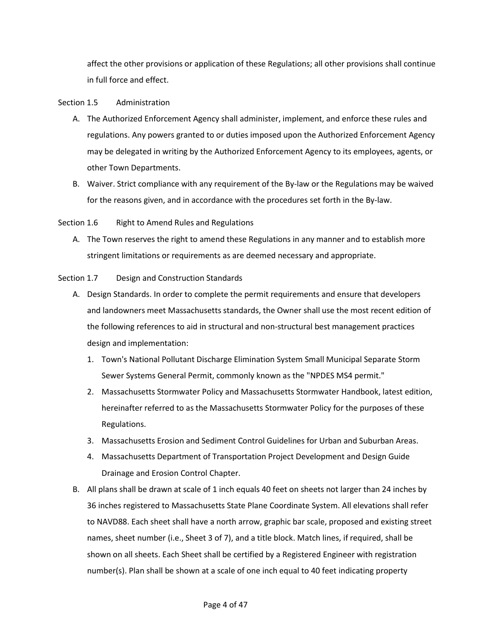affect the other provisions or application of these Regulations; all other provisions shall continue in full force and effect.

# <span id="page-3-0"></span>Section 1.5 Administration

- A. The Authorized Enforcement Agency shall administer, implement, and enforce these rules and regulations. Any powers granted to or duties imposed upon the Authorized Enforcement Agency may be delegated in writing by the Authorized Enforcement Agency to its employees, agents, or other Town Departments.
- B. Waiver. Strict compliance with any requirement of the By-law or the Regulations may be waived for the reasons given, and in accordance with the procedures set forth in the By-law.

# <span id="page-3-1"></span>Section 1.6 Right to Amend Rules and Regulations

A. The Town reserves the right to amend these Regulations in any manner and to establish more stringent limitations or requirements as are deemed necessary and appropriate.

# <span id="page-3-2"></span>Section 1.7 Design and Construction Standards

- A. Design Standards. In order to complete the permit requirements and ensure that developers and landowners meet Massachusetts standards, the Owner shall use the most recent edition of the following references to aid in structural and non-structural best management practices design and implementation:
	- 1. Town's National Pollutant Discharge Elimination System Small Municipal Separate Storm Sewer Systems General Permit, commonly known as the "NPDES MS4 permit."
	- 2. Massachusetts Stormwater Policy and Massachusetts Stormwater Handbook, latest edition, hereinafter referred to as the Massachusetts Stormwater Policy for the purposes of these Regulations.
	- 3. Massachusetts Erosion and Sediment Control Guidelines for Urban and Suburban Areas.
	- 4. Massachusetts Department of Transportation Project Development and Design Guide Drainage and Erosion Control Chapter.
- B. All plans shall be drawn at scale of 1 inch equals 40 feet on sheets not larger than 24 inches by 36 inches registered to Massachusetts State Plane Coordinate System. All elevations shall refer to NAVD88. Each sheet shall have a north arrow, graphic bar scale, proposed and existing street names, sheet number (i.e., Sheet 3 of 7), and a title block. Match lines, if required, shall be shown on all sheets. Each Sheet shall be certified by a Registered Engineer with registration number(s). Plan shall be shown at a scale of one inch equal to 40 feet indicating property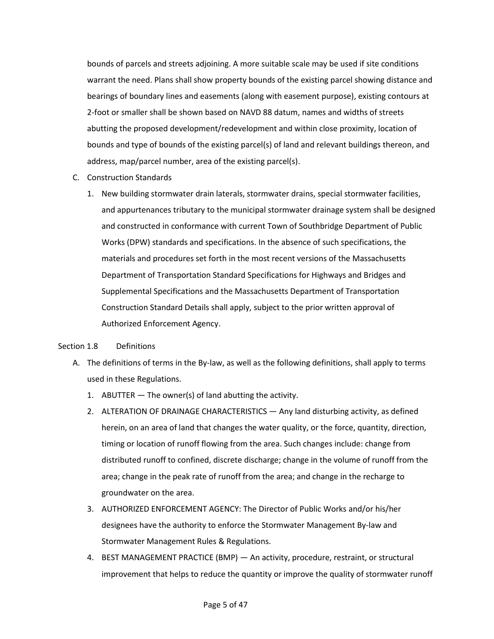bounds of parcels and streets adjoining. A more suitable scale may be used if site conditions warrant the need. Plans shall show property bounds of the existing parcel showing distance and bearings of boundary lines and easements (along with easement purpose), existing contours at 2-foot or smaller shall be shown based on NAVD 88 datum, names and widths of streets abutting the proposed development/redevelopment and within close proximity, location of bounds and type of bounds of the existing parcel(s) of land and relevant buildings thereon, and address, map/parcel number, area of the existing parcel(s).

- C. Construction Standards
	- 1. New building stormwater drain laterals, stormwater drains, special stormwater facilities, and appurtenances tributary to the municipal stormwater drainage system shall be designed and constructed in conformance with current Town of Southbridge Department of Public Works (DPW) standards and specifications. In the absence of such specifications, the materials and procedures set forth in the most recent versions of the Massachusetts Department of Transportation Standard Specifications for Highways and Bridges and Supplemental Specifications and the Massachusetts Department of Transportation Construction Standard Details shall apply, subject to the prior written approval of Authorized Enforcement Agency.

# <span id="page-4-0"></span>Section 1.8 Definitions

- A. The definitions of terms in the By-law, as well as the following definitions, shall apply to terms used in these Regulations.
	- 1. ABUTTER The owner(s) of land abutting the activity.
	- 2. ALTERATION OF DRAINAGE CHARACTERISTICS Any land disturbing activity, as defined herein, on an area of land that changes the water quality, or the force, quantity, direction, timing or location of runoff flowing from the area. Such changes include: change from distributed runoff to confined, discrete discharge; change in the volume of runoff from the area; change in the peak rate of runoff from the area; and change in the recharge to groundwater on the area.
	- 3. AUTHORIZED ENFORCEMENT AGENCY: The Director of Public Works and/or his/her designees have the authority to enforce the Stormwater Management By-law and Stormwater Management Rules & Regulations.
	- 4. BEST MANAGEMENT PRACTICE (BMP) An activity, procedure, restraint, or structural improvement that helps to reduce the quantity or improve the quality of stormwater runoff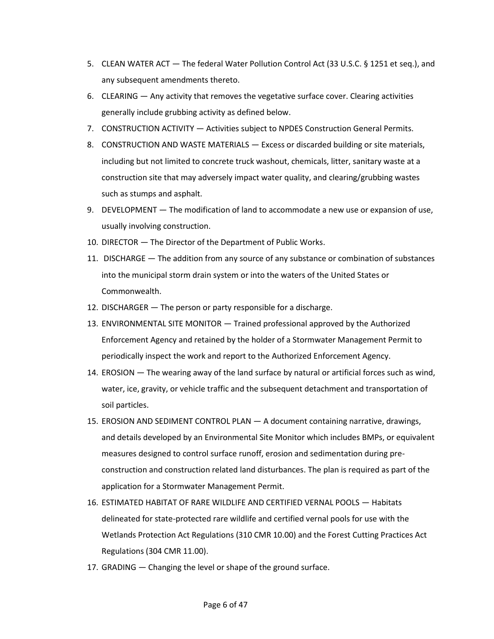- 5. CLEAN WATER ACT The federal Water Pollution Control Act (33 U.S.C. § 1251 et seq.), and any subsequent amendments thereto.
- 6. CLEARING Any activity that removes the vegetative surface cover. Clearing activities generally include grubbing activity as defined below.
- 7. CONSTRUCTION ACTIVITY Activities subject to NPDES Construction General Permits.
- 8. CONSTRUCTION AND WASTE MATERIALS Excess or discarded building or site materials, including but not limited to concrete truck washout, chemicals, litter, sanitary waste at a construction site that may adversely impact water quality, and clearing/grubbing wastes such as stumps and asphalt.
- 9. DEVELOPMENT The modification of land to accommodate a new use or expansion of use, usually involving construction.
- 10. DIRECTOR The Director of the Department of Public Works.
- 11. DISCHARGE The addition from any source of any substance or combination of substances into the municipal storm drain system or into the waters of the United States or Commonwealth.
- 12. DISCHARGER The person or party responsible for a discharge.
- 13. ENVIRONMENTAL SITE MONITOR Trained professional approved by the Authorized Enforcement Agency and retained by the holder of a Stormwater Management Permit to periodically inspect the work and report to the Authorized Enforcement Agency.
- 14. EROSION The wearing away of the land surface by natural or artificial forces such as wind, water, ice, gravity, or vehicle traffic and the subsequent detachment and transportation of soil particles.
- 15. EROSION AND SEDIMENT CONTROL PLAN A document containing narrative, drawings, and details developed by an Environmental Site Monitor which includes BMPs, or equivalent measures designed to control surface runoff, erosion and sedimentation during preconstruction and construction related land disturbances. The plan is required as part of the application for a Stormwater Management Permit.
- 16. ESTIMATED HABITAT OF RARE WILDLIFE AND CERTIFIED VERNAL POOLS Habitats delineated for state-protected rare wildlife and certified vernal pools for use with the Wetlands Protection Act Regulations (310 CMR 10.00) and the Forest Cutting Practices Act Regulations (304 CMR 11.00).
- 17. GRADING Changing the level or shape of the ground surface.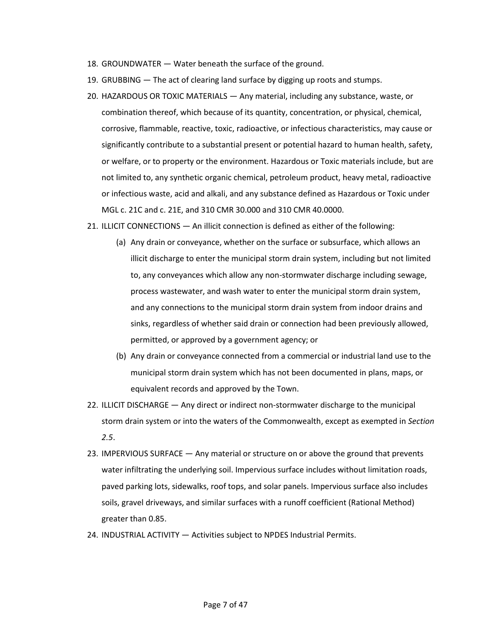- 18. GROUNDWATER Water beneath the surface of the ground.
- 19. GRUBBING The act of clearing land surface by digging up roots and stumps.
- 20. HAZARDOUS OR TOXIC MATERIALS Any material, including any substance, waste, or combination thereof, which because of its quantity, concentration, or physical, chemical, corrosive, flammable, reactive, toxic, radioactive, or infectious characteristics, may cause or significantly contribute to a substantial present or potential hazard to human health, safety, or welfare, or to property or the environment. Hazardous or Toxic materials include, but are not limited to, any synthetic organic chemical, petroleum product, heavy metal, radioactive or infectious waste, acid and alkali, and any substance defined as Hazardous or Toxic under MGL c. 21C and c. 21E, and 310 CMR 30.000 and 310 CMR 40.0000.
- 21. ILLICIT CONNECTIONS An illicit connection is defined as either of the following:
	- (a) Any drain or conveyance, whether on the surface or subsurface, which allows an illicit discharge to enter the municipal storm drain system, including but not limited to, any conveyances which allow any non-stormwater discharge including sewage, process wastewater, and wash water to enter the municipal storm drain system, and any connections to the municipal storm drain system from indoor drains and sinks, regardless of whether said drain or connection had been previously allowed, permitted, or approved by a government agency; or
	- (b) Any drain or conveyance connected from a commercial or industrial land use to the municipal storm drain system which has not been documented in plans, maps, or equivalent records and approved by the Town.
- 22. ILLICIT DISCHARGE Any direct or indirect non-stormwater discharge to the municipal storm drain system or into the waters of the Commonwealth, except as exempted in *Section 2.5*.
- 23. IMPERVIOUS SURFACE Any material or structure on or above the ground that prevents water infiltrating the underlying soil. Impervious surface includes without limitation roads, paved parking lots, sidewalks, roof tops, and solar panels. Impervious surface also includes soils, gravel driveways, and similar surfaces with a runoff coefficient (Rational Method) greater than 0.85.
- 24. INDUSTRIAL ACTIVITY Activities subject to NPDES Industrial Permits.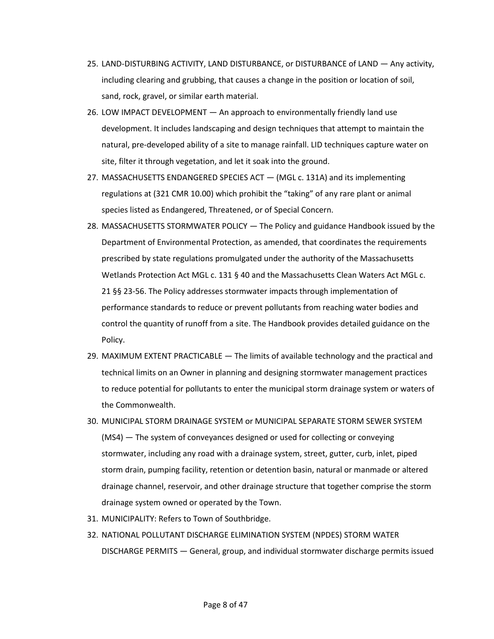- 25. LAND-DISTURBING ACTIVITY, LAND DISTURBANCE, or DISTURBANCE of LAND Any activity, including clearing and grubbing, that causes a change in the position or location of soil, sand, rock, gravel, or similar earth material.
- 26. LOW IMPACT DEVELOPMENT An approach to environmentally friendly land use development. It includes landscaping and design techniques that attempt to maintain the natural, pre-developed ability of a site to manage rainfall. LID techniques capture water on site, filter it through vegetation, and let it soak into the ground.
- 27. MASSACHUSETTS ENDANGERED SPECIES ACT (MGL c. 131A) and its implementing regulations at (321 CMR 10.00) which prohibit the "taking" of any rare plant or animal species listed as Endangered, Threatened, or of Special Concern.
- 28. MASSACHUSETTS STORMWATER POLICY The Policy and guidance Handbook issued by the Department of Environmental Protection, as amended, that coordinates the requirements prescribed by state regulations promulgated under the authority of the Massachusetts Wetlands Protection Act MGL c. 131 § 40 and the Massachusetts Clean Waters Act MGL c. 21 §§ 23-56. The Policy addresses stormwater impacts through implementation of performance standards to reduce or prevent pollutants from reaching water bodies and control the quantity of runoff from a site. The Handbook provides detailed guidance on the Policy.
- 29. MAXIMUM EXTENT PRACTICABLE The limits of available technology and the practical and technical limits on an Owner in planning and designing stormwater management practices to reduce potential for pollutants to enter the municipal storm drainage system or waters of the Commonwealth.
- 30. MUNICIPAL STORM DRAINAGE SYSTEM or MUNICIPAL SEPARATE STORM SEWER SYSTEM (MS4) — The system of conveyances designed or used for collecting or conveying stormwater, including any road with a drainage system, street, gutter, curb, inlet, piped storm drain, pumping facility, retention or detention basin, natural or manmade or altered drainage channel, reservoir, and other drainage structure that together comprise the storm drainage system owned or operated by the Town.
- 31. MUNICIPALITY: Refers to Town of Southbridge.
- 32. NATIONAL POLLUTANT DISCHARGE ELIMINATION SYSTEM (NPDES) STORM WATER DISCHARGE PERMITS — General, group, and individual stormwater discharge permits issued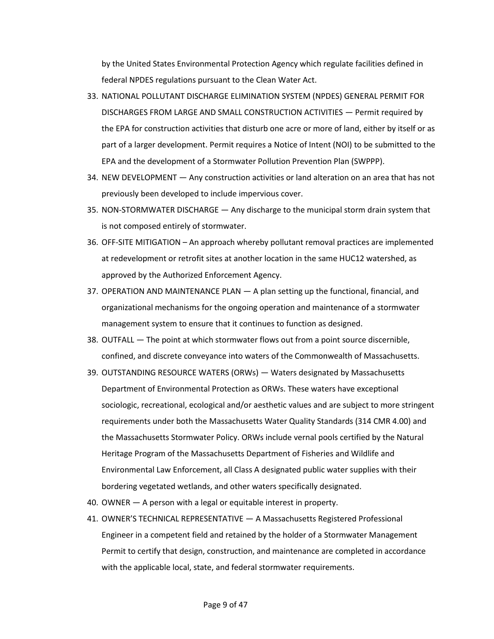by the United States Environmental Protection Agency which regulate facilities defined in federal NPDES regulations pursuant to the Clean Water Act.

- 33. NATIONAL POLLUTANT DISCHARGE ELIMINATION SYSTEM (NPDES) GENERAL PERMIT FOR DISCHARGES FROM LARGE AND SMALL CONSTRUCTION ACTIVITIES — Permit required by the EPA for construction activities that disturb one acre or more of land, either by itself or as part of a larger development. Permit requires a Notice of Intent (NOI) to be submitted to the EPA and the development of a Stormwater Pollution Prevention Plan (SWPPP).
- 34. NEW DEVELOPMENT Any construction activities or land alteration on an area that has not previously been developed to include impervious cover.
- 35. NON-STORMWATER DISCHARGE Any discharge to the municipal storm drain system that is not composed entirely of stormwater.
- 36. OFF-SITE MITIGATION An approach whereby pollutant removal practices are implemented at redevelopment or retrofit sites at another location in the same HUC12 watershed, as approved by the Authorized Enforcement Agency.
- 37. OPERATION AND MAINTENANCE PLAN A plan setting up the functional, financial, and organizational mechanisms for the ongoing operation and maintenance of a stormwater management system to ensure that it continues to function as designed.
- 38. OUTFALL The point at which stormwater flows out from a point source discernible, confined, and discrete conveyance into waters of the Commonwealth of Massachusetts.
- 39. OUTSTANDING RESOURCE WATERS (ORWs) Waters designated by Massachusetts Department of Environmental Protection as ORWs. These waters have exceptional sociologic, recreational, ecological and/or aesthetic values and are subject to more stringent requirements under both the Massachusetts Water Quality Standards (314 CMR 4.00) and the Massachusetts Stormwater Policy. ORWs include vernal pools certified by the Natural Heritage Program of the Massachusetts Department of Fisheries and Wildlife and Environmental Law Enforcement, all Class A designated public water supplies with their bordering vegetated wetlands, and other waters specifically designated.
- 40. OWNER A person with a legal or equitable interest in property.
- 41. OWNER'S TECHNICAL REPRESENTATIVE A Massachusetts Registered Professional Engineer in a competent field and retained by the holder of a Stormwater Management Permit to certify that design, construction, and maintenance are completed in accordance with the applicable local, state, and federal stormwater requirements.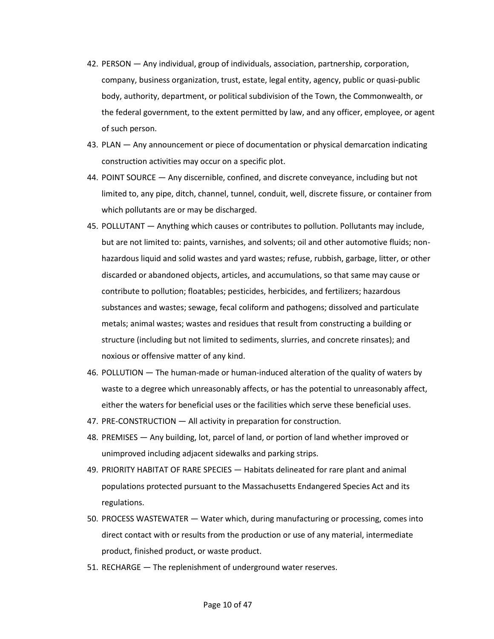- 42. PERSON Any individual, group of individuals, association, partnership, corporation, company, business organization, trust, estate, legal entity, agency, public or quasi-public body, authority, department, or political subdivision of the Town, the Commonwealth, or the federal government, to the extent permitted by law, and any officer, employee, or agent of such person.
- 43. PLAN Any announcement or piece of documentation or physical demarcation indicating construction activities may occur on a specific plot.
- 44. POINT SOURCE Any discernible, confined, and discrete conveyance, including but not limited to, any pipe, ditch, channel, tunnel, conduit, well, discrete fissure, or container from which pollutants are or may be discharged.
- 45. POLLUTANT Anything which causes or contributes to pollution. Pollutants may include, but are not limited to: paints, varnishes, and solvents; oil and other automotive fluids; nonhazardous liquid and solid wastes and yard wastes; refuse, rubbish, garbage, litter, or other discarded or abandoned objects, articles, and accumulations, so that same may cause or contribute to pollution; floatables; pesticides, herbicides, and fertilizers; hazardous substances and wastes; sewage, fecal coliform and pathogens; dissolved and particulate metals; animal wastes; wastes and residues that result from constructing a building or structure (including but not limited to sediments, slurries, and concrete rinsates); and noxious or offensive matter of any kind.
- 46. POLLUTION The human-made or human-induced alteration of the quality of waters by waste to a degree which unreasonably affects, or has the potential to unreasonably affect, either the waters for beneficial uses or the facilities which serve these beneficial uses.
- 47. PRE-CONSTRUCTION All activity in preparation for construction.
- 48. PREMISES Any building, lot, parcel of land, or portion of land whether improved or unimproved including adjacent sidewalks and parking strips.
- 49. PRIORITY HABITAT OF RARE SPECIES Habitats delineated for rare plant and animal populations protected pursuant to the Massachusetts Endangered Species Act and its regulations.
- 50. PROCESS WASTEWATER Water which, during manufacturing or processing, comes into direct contact with or results from the production or use of any material, intermediate product, finished product, or waste product.
- 51. RECHARGE The replenishment of underground water reserves.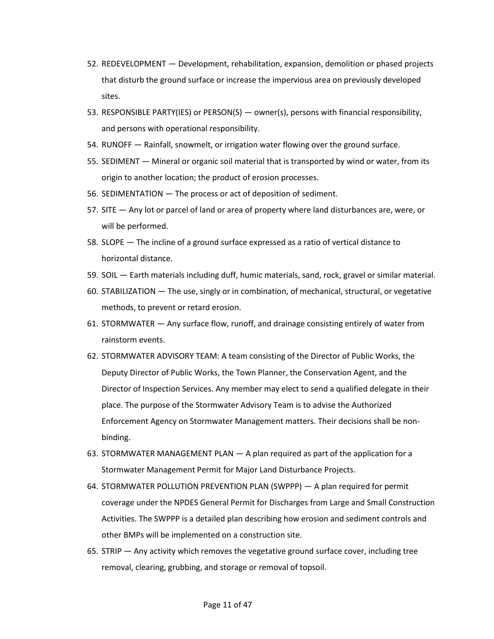- 52. REDEVELOPMENT Development, rehabilitation, expansion, demolition or phased projects that disturb the ground surface or increase the impervious area on previously developed sites.
- 53. RESPONSIBLE PARTY(IES) or PERSON(S) owner(s), persons with financial responsibility, and persons with operational responsibility.
- 54. RUNOFF Rainfall, snowmelt, or irrigation water flowing over the ground surface.
- 55. SEDIMENT Mineral or organic soil material that is transported by wind or water, from its origin to another location; the product of erosion processes.
- 56. SEDIMENTATION The process or act of deposition of sediment.
- 57. SITE Any lot or parcel of land or area of property where land disturbances are, were, or will be performed.
- 58. SLOPE The incline of a ground surface expressed as a ratio of vertical distance to horizontal distance.
- 59. SOIL Earth materials including duff, humic materials, sand, rock, gravel or similar material.
- 60. STABILIZATION The use, singly or in combination, of mechanical, structural, or vegetative methods, to prevent or retard erosion.
- 61. STORMWATER Any surface flow, runoff, and drainage consisting entirely of water from rainstorm events.
- 62. STORMWATER ADVISORY TEAM: A team consisting of the Director of Public Works, the Deputy Director of Public Works, the Town Planner, the Conservation Agent, and the Director of Inspection Services. Any member may elect to send a qualified delegate in their place. The purpose of the Stormwater Advisory Team is to advise the Authorized Enforcement Agency on Stormwater Management matters. Their decisions shall be nonbinding.
- 63. STORMWATER MANAGEMENT PLAN A plan required as part of the application for a Stormwater Management Permit for Major Land Disturbance Projects.
- 64. STORMWATER POLLUTION PREVENTION PLAN (SWPPP) A plan required for permit coverage under the NPDES General Permit for Discharges from Large and Small Construction Activities. The SWPPP is a detailed plan describing how erosion and sediment controls and other BMPs will be implemented on a construction site.
- 65. STRIP Any activity which removes the vegetative ground surface cover, including tree removal, clearing, grubbing, and storage or removal of topsoil.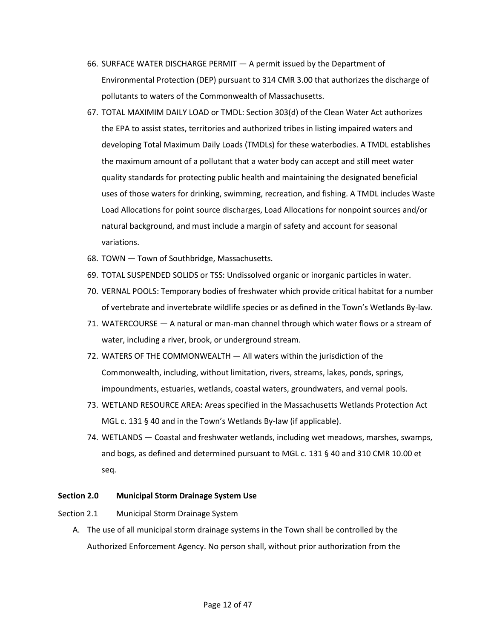- 66. SURFACE WATER DISCHARGE PERMIT A permit issued by the Department of Environmental Protection (DEP) pursuant to 314 CMR 3.00 that authorizes the discharge of pollutants to waters of the Commonwealth of Massachusetts.
- 67. TOTAL MAXIMIM DAILY LOAD or TMDL: Section 303(d) of the Clean Water Act authorizes the EPA to assist states, territories and authorized tribes in listing impaired waters and developing Total Maximum Daily Loads (TMDLs) for these waterbodies. A TMDL establishes the maximum amount of a pollutant that a water body can accept and still meet water quality standards for protecting public health and maintaining the designated beneficial uses of those waters for drinking, swimming, recreation, and fishing. A TMDL includes Waste Load Allocations for point source discharges, Load Allocations for nonpoint sources and/or natural background, and must include a margin of safety and account for seasonal variations.
- 68. TOWN Town of Southbridge, Massachusetts.
- 69. TOTAL SUSPENDED SOLIDS or TSS: Undissolved organic or inorganic particles in water.
- 70. VERNAL POOLS: Temporary bodies of freshwater which provide critical habitat for a number of vertebrate and invertebrate wildlife species or as defined in the Town's Wetlands By-law.
- 71. WATERCOURSE A natural or man-man channel through which water flows or a stream of water, including a river, brook, or underground stream.
- 72. WATERS OF THE COMMONWEALTH All waters within the jurisdiction of the Commonwealth, including, without limitation, rivers, streams, lakes, ponds, springs, impoundments, estuaries, wetlands, coastal waters, groundwaters, and vernal pools.
- 73. WETLAND RESOURCE AREA: Areas specified in the Massachusetts Wetlands Protection Act MGL c. 131 § 40 and in the Town's Wetlands By-law (if applicable).
- 74. WETLANDS Coastal and freshwater wetlands, including wet meadows, marshes, swamps, and bogs, as defined and determined pursuant to MGL c. 131 § 40 and 310 CMR 10.00 et seq.

#### <span id="page-11-0"></span>**Section 2.0 Municipal Storm Drainage System Use**

#### <span id="page-11-1"></span>Section 2.1 Municipal Storm Drainage System

A. The use of all municipal storm drainage systems in the Town shall be controlled by the Authorized Enforcement Agency. No person shall, without prior authorization from the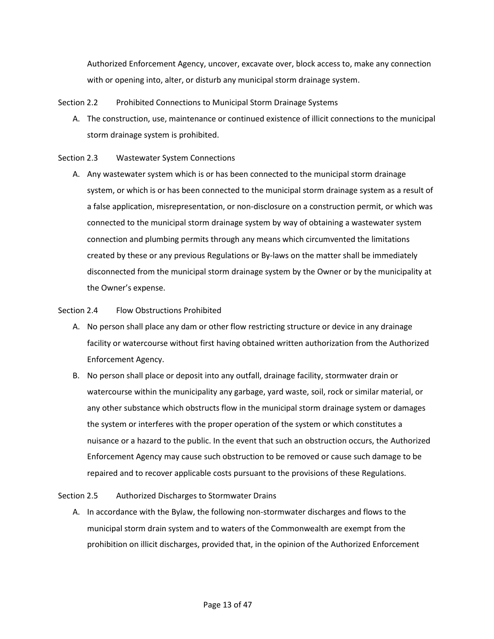Authorized Enforcement Agency, uncover, excavate over, block access to, make any connection with or opening into, alter, or disturb any municipal storm drainage system.

<span id="page-12-0"></span>Section 2.2 Prohibited Connections to Municipal Storm Drainage Systems

A. The construction, use, maintenance or continued existence of illicit connections to the municipal storm drainage system is prohibited.

# <span id="page-12-1"></span>Section 2.3 Wastewater System Connections

A. Any wastewater system which is or has been connected to the municipal storm drainage system, or which is or has been connected to the municipal storm drainage system as a result of a false application, misrepresentation, or non-disclosure on a construction permit, or which was connected to the municipal storm drainage system by way of obtaining a wastewater system connection and plumbing permits through any means which circumvented the limitations created by these or any previous Regulations or By-laws on the matter shall be immediately disconnected from the municipal storm drainage system by the Owner or by the municipality at the Owner's expense.

# <span id="page-12-2"></span>Section 2.4 Flow Obstructions Prohibited

- A. No person shall place any dam or other flow restricting structure or device in any drainage facility or watercourse without first having obtained written authorization from the Authorized Enforcement Agency.
- B. No person shall place or deposit into any outfall, drainage facility, stormwater drain or watercourse within the municipality any garbage, yard waste, soil, rock or similar material, or any other substance which obstructs flow in the municipal storm drainage system or damages the system or interferes with the proper operation of the system or which constitutes a nuisance or a hazard to the public. In the event that such an obstruction occurs, the Authorized Enforcement Agency may cause such obstruction to be removed or cause such damage to be repaired and to recover applicable costs pursuant to the provisions of these Regulations.

#### <span id="page-12-3"></span>Section 2.5 Authorized Discharges to Stormwater Drains

A. In accordance with the Bylaw, the following non-stormwater discharges and flows to the municipal storm drain system and to waters of the Commonwealth are exempt from the prohibition on illicit discharges, provided that, in the opinion of the Authorized Enforcement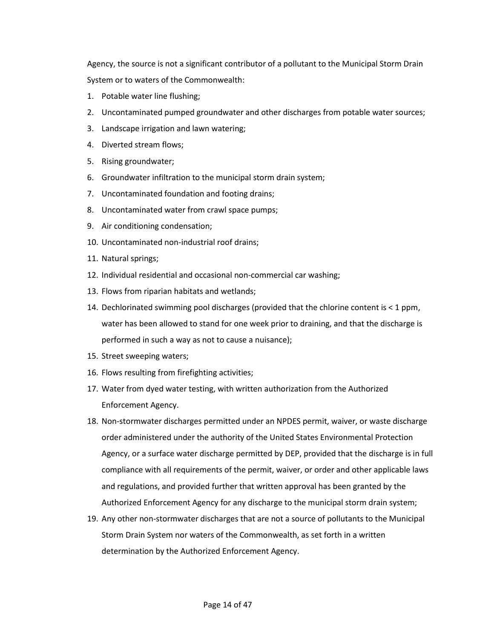Agency, the source is not a significant contributor of a pollutant to the Municipal Storm Drain System or to waters of the Commonwealth:

- 1. Potable water line flushing;
- 2. Uncontaminated pumped groundwater and other discharges from potable water sources;
- 3. Landscape irrigation and lawn watering;
- 4. Diverted stream flows;
- 5. Rising groundwater;
- 6. Groundwater infiltration to the municipal storm drain system;
- 7. Uncontaminated foundation and footing drains;
- 8. Uncontaminated water from crawl space pumps;
- 9. Air conditioning condensation;
- 10. Uncontaminated non-industrial roof drains;
- 11. Natural springs;
- 12. Individual residential and occasional non-commercial car washing;
- 13. Flows from riparian habitats and wetlands;
- 14. Dechlorinated swimming pool discharges (provided that the chlorine content is < 1 ppm, water has been allowed to stand for one week prior to draining, and that the discharge is performed in such a way as not to cause a nuisance);
- 15. Street sweeping waters;
- 16. Flows resulting from firefighting activities;
- 17. Water from dyed water testing, with written authorization from the Authorized Enforcement Agency.
- 18. Non-stormwater discharges permitted under an NPDES permit, waiver, or waste discharge order administered under the authority of the United States Environmental Protection Agency, or a surface water discharge permitted by DEP, provided that the discharge is in full compliance with all requirements of the permit, waiver, or order and other applicable laws and regulations, and provided further that written approval has been granted by the Authorized Enforcement Agency for any discharge to the municipal storm drain system;
- 19. Any other non-stormwater discharges that are not a source of pollutants to the Municipal Storm Drain System nor waters of the Commonwealth, as set forth in a written determination by the Authorized Enforcement Agency.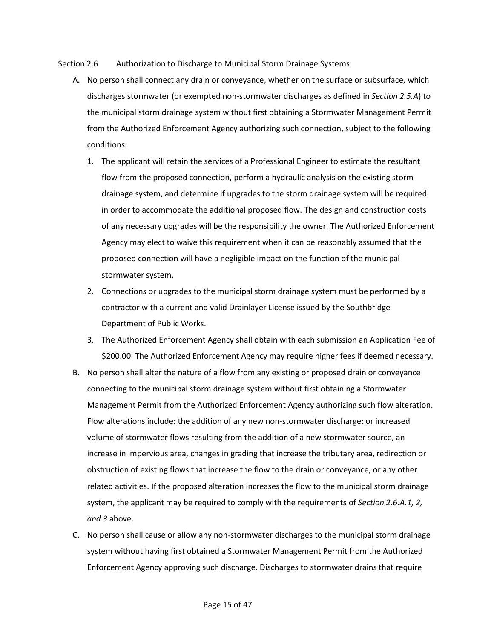<span id="page-14-0"></span>Section 2.6 Authorization to Discharge to Municipal Storm Drainage Systems

- A. No person shall connect any drain or conveyance, whether on the surface or subsurface, which discharges stormwater (or exempted non-stormwater discharges as defined in *Section 2.5.A*) to the municipal storm drainage system without first obtaining a Stormwater Management Permit from the Authorized Enforcement Agency authorizing such connection, subject to the following conditions:
	- 1. The applicant will retain the services of a Professional Engineer to estimate the resultant flow from the proposed connection, perform a hydraulic analysis on the existing storm drainage system, and determine if upgrades to the storm drainage system will be required in order to accommodate the additional proposed flow. The design and construction costs of any necessary upgrades will be the responsibility the owner. The Authorized Enforcement Agency may elect to waive this requirement when it can be reasonably assumed that the proposed connection will have a negligible impact on the function of the municipal stormwater system.
	- 2. Connections or upgrades to the municipal storm drainage system must be performed by a contractor with a current and valid Drainlayer License issued by the Southbridge Department of Public Works.
	- 3. The Authorized Enforcement Agency shall obtain with each submission an Application Fee of \$200.00. The Authorized Enforcement Agency may require higher fees if deemed necessary.
- B. No person shall alter the nature of a flow from any existing or proposed drain or conveyance connecting to the municipal storm drainage system without first obtaining a Stormwater Management Permit from the Authorized Enforcement Agency authorizing such flow alteration. Flow alterations include: the addition of any new non-stormwater discharge; or increased volume of stormwater flows resulting from the addition of a new stormwater source, an increase in impervious area, changes in grading that increase the tributary area, redirection or obstruction of existing flows that increase the flow to the drain or conveyance, or any other related activities. If the proposed alteration increases the flow to the municipal storm drainage system, the applicant may be required to comply with the requirements of *Section 2.6.A.1, 2, and 3* above.
- C. No person shall cause or allow any non-stormwater discharges to the municipal storm drainage system without having first obtained a Stormwater Management Permit from the Authorized Enforcement Agency approving such discharge. Discharges to stormwater drains that require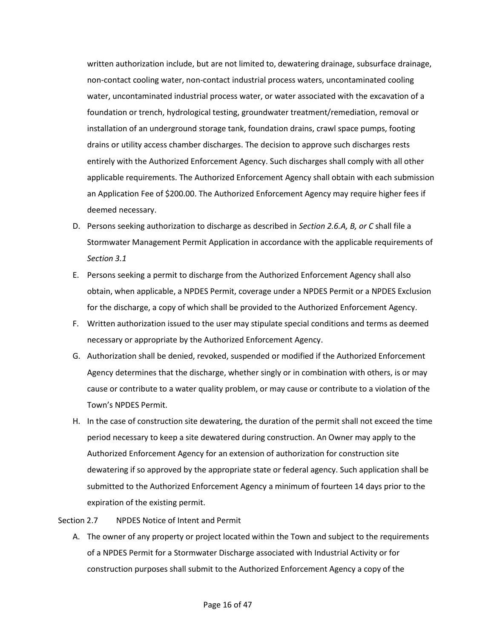written authorization include, but are not limited to, dewatering drainage, subsurface drainage, non-contact cooling water, non-contact industrial process waters, uncontaminated cooling water, uncontaminated industrial process water, or water associated with the excavation of a foundation or trench, hydrological testing, groundwater treatment/remediation, removal or installation of an underground storage tank, foundation drains, crawl space pumps, footing drains or utility access chamber discharges. The decision to approve such discharges rests entirely with the Authorized Enforcement Agency. Such discharges shall comply with all other applicable requirements. The Authorized Enforcement Agency shall obtain with each submission an Application Fee of \$200.00. The Authorized Enforcement Agency may require higher fees if deemed necessary.

- D. Persons seeking authorization to discharge as described in *Section 2.6.A, B, or C* shall file a Stormwater Management Permit Application in accordance with the applicable requirements of *Section 3.1*
- E. Persons seeking a permit to discharge from the Authorized Enforcement Agency shall also obtain, when applicable, a NPDES Permit, coverage under a NPDES Permit or a NPDES Exclusion for the discharge, a copy of which shall be provided to the Authorized Enforcement Agency.
- F. Written authorization issued to the user may stipulate special conditions and terms as deemed necessary or appropriate by the Authorized Enforcement Agency.
- G. Authorization shall be denied, revoked, suspended or modified if the Authorized Enforcement Agency determines that the discharge, whether singly or in combination with others, is or may cause or contribute to a water quality problem, or may cause or contribute to a violation of the Town's NPDES Permit.
- H. In the case of construction site dewatering, the duration of the permit shall not exceed the time period necessary to keep a site dewatered during construction. An Owner may apply to the Authorized Enforcement Agency for an extension of authorization for construction site dewatering if so approved by the appropriate state or federal agency. Such application shall be submitted to the Authorized Enforcement Agency a minimum of fourteen 14 days prior to the expiration of the existing permit.

#### <span id="page-15-0"></span>Section 2.7 NPDES Notice of Intent and Permit

A. The owner of any property or project located within the Town and subject to the requirements of a NPDES Permit for a Stormwater Discharge associated with Industrial Activity or for construction purposes shall submit to the Authorized Enforcement Agency a copy of the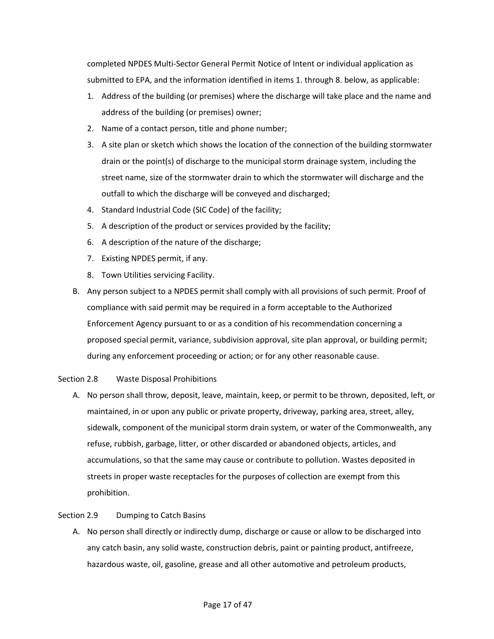completed NPDES Multi-Sector General Permit Notice of Intent or individual application as submitted to EPA, and the information identified in items 1. through 8. below, as applicable:

- 1. Address of the building (or premises) where the discharge will take place and the name and address of the building (or premises) owner;
- 2. Name of a contact person, title and phone number;
- 3. A site plan or sketch which shows the location of the connection of the building stormwater drain or the point(s) of discharge to the municipal storm drainage system, including the street name, size of the stormwater drain to which the stormwater will discharge and the outfall to which the discharge will be conveyed and discharged;
- 4. Standard Industrial Code (SIC Code) of the facility;
- 5. A description of the product or services provided by the facility;
- 6. A description of the nature of the discharge;
- 7. Existing NPDES permit, if any.
- 8. Town Utilities servicing Facility.
- B. Any person subject to a NPDES permit shall comply with all provisions of such permit. Proof of compliance with said permit may be required in a form acceptable to the Authorized Enforcement Agency pursuant to or as a condition of his recommendation concerning a proposed special permit, variance, subdivision approval, site plan approval, or building permit; during any enforcement proceeding or action; or for any other reasonable cause.

# <span id="page-16-0"></span>Section 2.8 Waste Disposal Prohibitions

A. No person shall throw, deposit, leave, maintain, keep, or permit to be thrown, deposited, left, or maintained, in or upon any public or private property, driveway, parking area, street, alley, sidewalk, component of the municipal storm drain system, or water of the Commonwealth, any refuse, rubbish, garbage, litter, or other discarded or abandoned objects, articles, and accumulations, so that the same may cause or contribute to pollution. Wastes deposited in streets in proper waste receptacles for the purposes of collection are exempt from this prohibition.

# <span id="page-16-1"></span>Section 2.9 Dumping to Catch Basins

A. No person shall directly or indirectly dump, discharge or cause or allow to be discharged into any catch basin, any solid waste, construction debris, paint or painting product, antifreeze, hazardous waste, oil, gasoline, grease and all other automotive and petroleum products,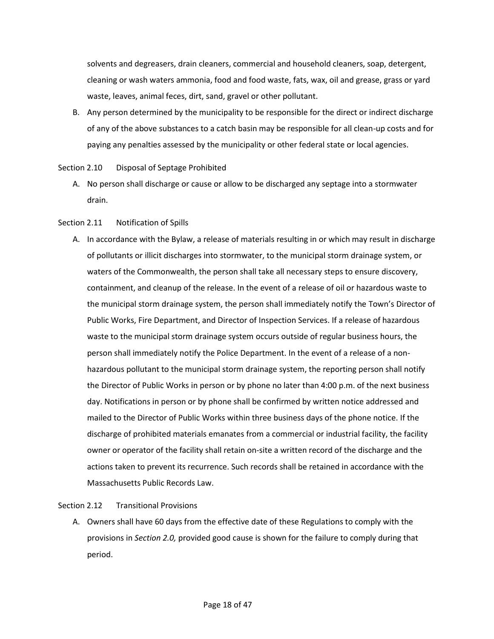solvents and degreasers, drain cleaners, commercial and household cleaners, soap, detergent, cleaning or wash waters ammonia, food and food waste, fats, wax, oil and grease, grass or yard waste, leaves, animal feces, dirt, sand, gravel or other pollutant.

B. Any person determined by the municipality to be responsible for the direct or indirect discharge of any of the above substances to a catch basin may be responsible for all clean-up costs and for paying any penalties assessed by the municipality or other federal state or local agencies.

<span id="page-17-0"></span>Section 2.10 Disposal of Septage Prohibited

A. No person shall discharge or cause or allow to be discharged any septage into a stormwater drain.

# <span id="page-17-1"></span>Section 2.11 Notification of Spills

A. In accordance with the Bylaw, a release of materials resulting in or which may result in discharge of pollutants or illicit discharges into stormwater, to the municipal storm drainage system, or waters of the Commonwealth, the person shall take all necessary steps to ensure discovery, containment, and cleanup of the release. In the event of a release of oil or hazardous waste to the municipal storm drainage system, the person shall immediately notify the Town's Director of Public Works, Fire Department, and Director of Inspection Services. If a release of hazardous waste to the municipal storm drainage system occurs outside of regular business hours, the person shall immediately notify the Police Department. In the event of a release of a nonhazardous pollutant to the municipal storm drainage system, the reporting person shall notify the Director of Public Works in person or by phone no later than 4:00 p.m. of the next business day. Notifications in person or by phone shall be confirmed by written notice addressed and mailed to the Director of Public Works within three business days of the phone notice. If the discharge of prohibited materials emanates from a commercial or industrial facility, the facility owner or operator of the facility shall retain on-site a written record of the discharge and the actions taken to prevent its recurrence. Such records shall be retained in accordance with the Massachusetts Public Records Law.

# <span id="page-17-2"></span>Section 2.12 Transitional Provisions

A. Owners shall have 60 days from the effective date of these Regulations to comply with the provisions in *Section 2.0,* provided good cause is shown for the failure to comply during that period.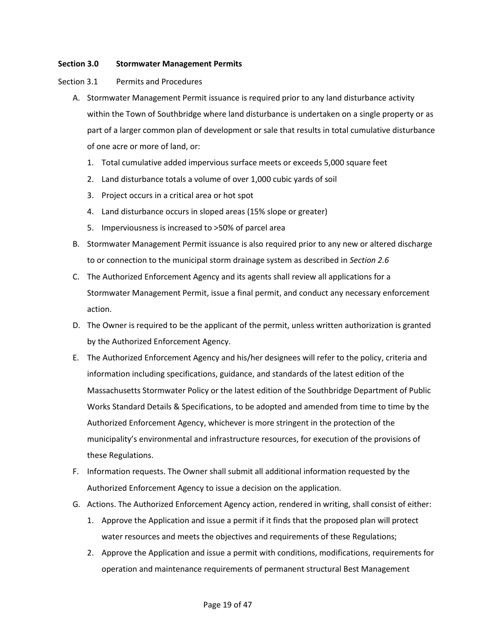# <span id="page-18-0"></span>**Section 3.0 Stormwater Management Permits**

# <span id="page-18-1"></span>Section 3.1 Permits and Procedures

- A. Stormwater Management Permit issuance is required prior to any land disturbance activity within the Town of Southbridge where land disturbance is undertaken on a single property or as part of a larger common plan of development or sale that results in total cumulative disturbance of one acre or more of land, or:
	- 1. Total cumulative added impervious surface meets or exceeds 5,000 square feet
	- 2. Land disturbance totals a volume of over 1,000 cubic yards of soil
	- 3. Project occurs in a critical area or hot spot
	- 4. Land disturbance occurs in sloped areas (15% slope or greater)
	- 5. Imperviousness is increased to >50% of parcel area
- B. Stormwater Management Permit issuance is also required prior to any new or altered discharge to or connection to the municipal storm drainage system as described in *Section 2.6*
- C. The Authorized Enforcement Agency and its agents shall review all applications for a Stormwater Management Permit, issue a final permit, and conduct any necessary enforcement action.
- D. The Owner is required to be the applicant of the permit, unless written authorization is granted by the Authorized Enforcement Agency.
- E. The Authorized Enforcement Agency and his/her designees will refer to the policy, criteria and information including specifications, guidance, and standards of the latest edition of the Massachusetts Stormwater Policy or the latest edition of the Southbridge Department of Public Works Standard Details & Specifications, to be adopted and amended from time to time by the Authorized Enforcement Agency, whichever is more stringent in the protection of the municipality's environmental and infrastructure resources, for execution of the provisions of these Regulations.
- F. Information requests. The Owner shall submit all additional information requested by the Authorized Enforcement Agency to issue a decision on the application.
- G. Actions. The Authorized Enforcement Agency action, rendered in writing, shall consist of either:
	- 1. Approve the Application and issue a permit if it finds that the proposed plan will protect water resources and meets the objectives and requirements of these Regulations;
	- 2. Approve the Application and issue a permit with conditions, modifications, requirements for operation and maintenance requirements of permanent structural Best Management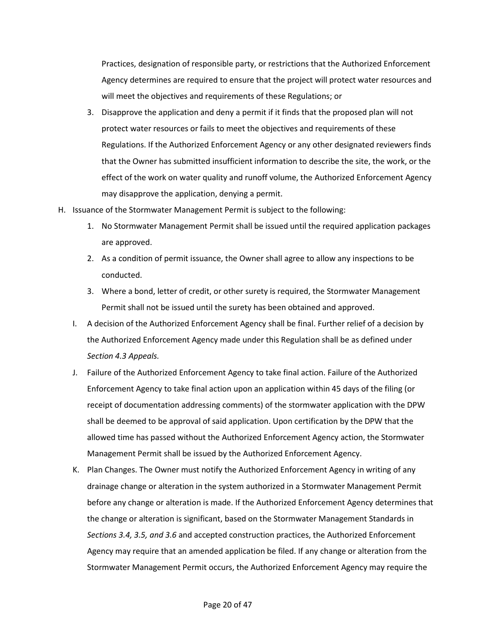Practices, designation of responsible party, or restrictions that the Authorized Enforcement Agency determines are required to ensure that the project will protect water resources and will meet the objectives and requirements of these Regulations; or

- 3. Disapprove the application and deny a permit if it finds that the proposed plan will not protect water resources or fails to meet the objectives and requirements of these Regulations. If the Authorized Enforcement Agency or any other designated reviewers finds that the Owner has submitted insufficient information to describe the site, the work, or the effect of the work on water quality and runoff volume, the Authorized Enforcement Agency may disapprove the application, denying a permit.
- H. Issuance of the Stormwater Management Permit is subject to the following:
	- 1. No Stormwater Management Permit shall be issued until the required application packages are approved.
	- 2. As a condition of permit issuance, the Owner shall agree to allow any inspections to be conducted.
	- 3. Where a bond, letter of credit, or other surety is required, the Stormwater Management Permit shall not be issued until the surety has been obtained and approved.
	- I. A decision of the Authorized Enforcement Agency shall be final. Further relief of a decision by the Authorized Enforcement Agency made under this Regulation shall be as defined under *Section 4.3 Appeals.*
	- J. Failure of the Authorized Enforcement Agency to take final action. Failure of the Authorized Enforcement Agency to take final action upon an application within 45 days of the filing (or receipt of documentation addressing comments) of the stormwater application with the DPW shall be deemed to be approval of said application. Upon certification by the DPW that the allowed time has passed without the Authorized Enforcement Agency action, the Stormwater Management Permit shall be issued by the Authorized Enforcement Agency.
	- K. Plan Changes. The Owner must notify the Authorized Enforcement Agency in writing of any drainage change or alteration in the system authorized in a Stormwater Management Permit before any change or alteration is made. If the Authorized Enforcement Agency determines that the change or alteration is significant, based on the Stormwater Management Standards in *Sections 3.4, 3.5, and 3.6* and accepted construction practices, the Authorized Enforcement Agency may require that an amended application be filed. If any change or alteration from the Stormwater Management Permit occurs, the Authorized Enforcement Agency may require the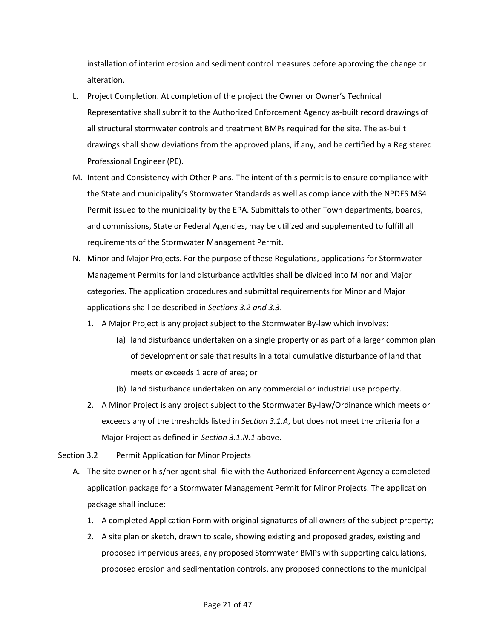installation of interim erosion and sediment control measures before approving the change or alteration.

- L. Project Completion. At completion of the project the Owner or Owner's Technical Representative shall submit to the Authorized Enforcement Agency as-built record drawings of all structural stormwater controls and treatment BMPs required for the site. The as-built drawings shall show deviations from the approved plans, if any, and be certified by a Registered Professional Engineer (PE).
- M. Intent and Consistency with Other Plans. The intent of this permit is to ensure compliance with the State and municipality's Stormwater Standards as well as compliance with the NPDES MS4 Permit issued to the municipality by the EPA. Submittals to other Town departments, boards, and commissions, State or Federal Agencies, may be utilized and supplemented to fulfill all requirements of the Stormwater Management Permit.
- N. Minor and Major Projects. For the purpose of these Regulations, applications for Stormwater Management Permits for land disturbance activities shall be divided into Minor and Major categories. The application procedures and submittal requirements for Minor and Major applications shall be described in *Sections 3.2 and 3.3*.
	- 1. A Major Project is any project subject to the Stormwater By-law which involves:
		- (a) land disturbance undertaken on a single property or as part of a larger common plan of development or sale that results in a total cumulative disturbance of land that meets or exceeds 1 acre of area; or
		- (b) land disturbance undertaken on any commercial or industrial use property.
	- 2. A Minor Project is any project subject to the Stormwater By-law/Ordinance which meets or exceeds any of the thresholds listed in *Section 3.1.A*, but does not meet the criteria for a Major Project as defined in *Section 3.1.N.1* above.

<span id="page-20-0"></span>Section 3.2 Permit Application for Minor Projects

- A. The site owner or his/her agent shall file with the Authorized Enforcement Agency a completed application package for a Stormwater Management Permit for Minor Projects. The application package shall include:
	- 1. A completed Application Form with original signatures of all owners of the subject property;
	- 2. A site plan or sketch, drawn to scale, showing existing and proposed grades, existing and proposed impervious areas, any proposed Stormwater BMPs with supporting calculations, proposed erosion and sedimentation controls, any proposed connections to the municipal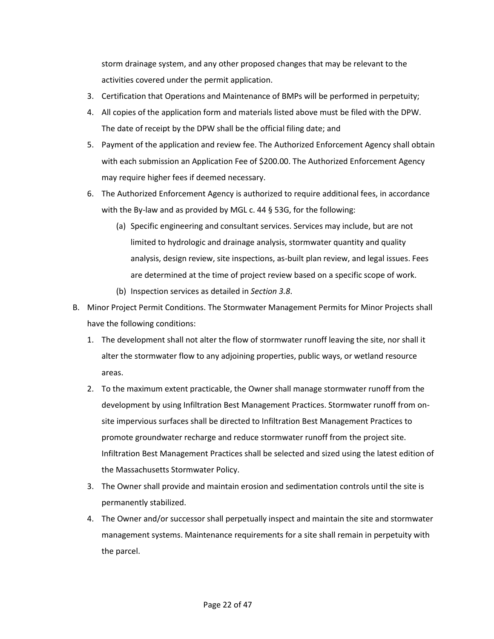storm drainage system, and any other proposed changes that may be relevant to the activities covered under the permit application.

- 3. Certification that Operations and Maintenance of BMPs will be performed in perpetuity;
- 4. All copies of the application form and materials listed above must be filed with the DPW. The date of receipt by the DPW shall be the official filing date; and
- 5. Payment of the application and review fee. The Authorized Enforcement Agency shall obtain with each submission an Application Fee of \$200.00. The Authorized Enforcement Agency may require higher fees if deemed necessary.
- 6. The Authorized Enforcement Agency is authorized to require additional fees, in accordance with the By-law and as provided by MGL c. 44 § 53G, for the following:
	- (a) Specific engineering and consultant services. Services may include, but are not limited to hydrologic and drainage analysis, stormwater quantity and quality analysis, design review, site inspections, as-built plan review, and legal issues. Fees are determined at the time of project review based on a specific scope of work.
	- (b) Inspection services as detailed in *Section 3.8*.
- B. Minor Project Permit Conditions. The Stormwater Management Permits for Minor Projects shall have the following conditions:
	- 1. The development shall not alter the flow of stormwater runoff leaving the site, nor shall it alter the stormwater flow to any adjoining properties, public ways, or wetland resource areas.
	- 2. To the maximum extent practicable, the Owner shall manage stormwater runoff from the development by using Infiltration Best Management Practices. Stormwater runoff from onsite impervious surfaces shall be directed to Infiltration Best Management Practices to promote groundwater recharge and reduce stormwater runoff from the project site. Infiltration Best Management Practices shall be selected and sized using the latest edition of the Massachusetts Stormwater Policy.
	- 3. The Owner shall provide and maintain erosion and sedimentation controls until the site is permanently stabilized.
	- 4. The Owner and/or successor shall perpetually inspect and maintain the site and stormwater management systems. Maintenance requirements for a site shall remain in perpetuity with the parcel.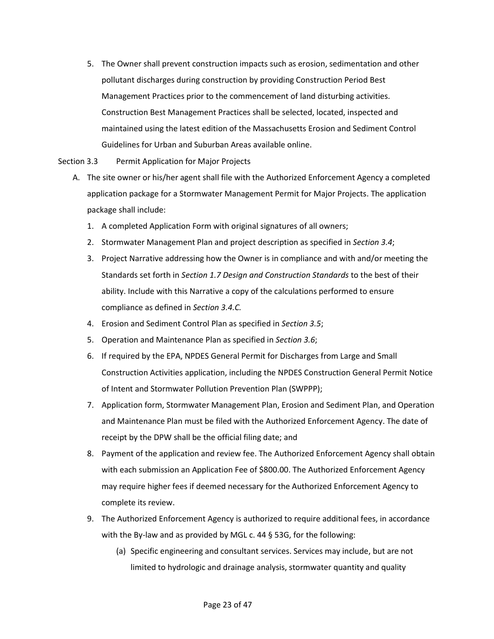- 5. The Owner shall prevent construction impacts such as erosion, sedimentation and other pollutant discharges during construction by providing Construction Period Best Management Practices prior to the commencement of land disturbing activities. Construction Best Management Practices shall be selected, located, inspected and maintained using the latest edition of the Massachusetts Erosion and Sediment Control Guidelines for Urban and Suburban Areas available online.
- <span id="page-22-0"></span>Section 3.3 Permit Application for Major Projects
	- A. The site owner or his/her agent shall file with the Authorized Enforcement Agency a completed application package for a Stormwater Management Permit for Major Projects. The application package shall include:
		- 1. A completed Application Form with original signatures of all owners;
		- 2. Stormwater Management Plan and project description as specified in *Section 3.4*;
		- 3. Project Narrative addressing how the Owner is in compliance and with and/or meeting the Standards set forth in *Section 1.7 Design and Construction Standards* to the best of their ability. Include with this Narrative a copy of the calculations performed to ensure compliance as defined in *Section 3.4.C.*
		- 4. Erosion and Sediment Control Plan as specified in *Section 3.5*;
		- 5. Operation and Maintenance Plan as specified in *Section 3.6*;
		- 6. If required by the EPA, NPDES General Permit for Discharges from Large and Small Construction Activities application, including the NPDES Construction General Permit Notice of Intent and Stormwater Pollution Prevention Plan (SWPPP);
		- 7. Application form, Stormwater Management Plan, Erosion and Sediment Plan, and Operation and Maintenance Plan must be filed with the Authorized Enforcement Agency. The date of receipt by the DPW shall be the official filing date; and
		- 8. Payment of the application and review fee. The Authorized Enforcement Agency shall obtain with each submission an Application Fee of \$800.00. The Authorized Enforcement Agency may require higher fees if deemed necessary for the Authorized Enforcement Agency to complete its review.
		- 9. The Authorized Enforcement Agency is authorized to require additional fees, in accordance with the By-law and as provided by MGL c. 44 § 53G, for the following:
			- (a) Specific engineering and consultant services. Services may include, but are not limited to hydrologic and drainage analysis, stormwater quantity and quality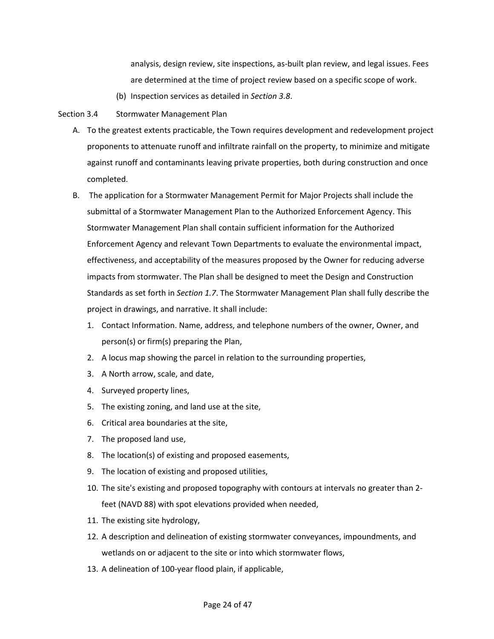analysis, design review, site inspections, as-built plan review, and legal issues. Fees are determined at the time of project review based on a specific scope of work.

(b) Inspection services as detailed in *Section 3.8*.

# <span id="page-23-0"></span>Section 3.4 Stormwater Management Plan

- A. To the greatest extents practicable, the Town requires development and redevelopment project proponents to attenuate runoff and infiltrate rainfall on the property, to minimize and mitigate against runoff and contaminants leaving private properties, both during construction and once completed.
- B. The application for a Stormwater Management Permit for Major Projects shall include the submittal of a Stormwater Management Plan to the Authorized Enforcement Agency. This Stormwater Management Plan shall contain sufficient information for the Authorized Enforcement Agency and relevant Town Departments to evaluate the environmental impact, effectiveness, and acceptability of the measures proposed by the Owner for reducing adverse impacts from stormwater. The Plan shall be designed to meet the Design and Construction Standards as set forth in *Section 1.7*. The Stormwater Management Plan shall fully describe the project in drawings, and narrative. It shall include:
	- 1. Contact Information. Name, address, and telephone numbers of the owner, Owner, and person(s) or firm(s) preparing the Plan,
	- 2. A locus map showing the parcel in relation to the surrounding properties,
	- 3. A North arrow, scale, and date,
	- 4. Surveyed property lines,
	- 5. The existing zoning, and land use at the site,
	- 6. Critical area boundaries at the site,
	- 7. The proposed land use,
	- 8. The location(s) of existing and proposed easements,
	- 9. The location of existing and proposed utilities,
	- 10. The site's existing and proposed topography with contours at intervals no greater than 2 feet (NAVD 88) with spot elevations provided when needed,
	- 11. The existing site hydrology,
	- 12. A description and delineation of existing stormwater conveyances, impoundments, and wetlands on or adjacent to the site or into which stormwater flows,
	- 13. A delineation of 100-year flood plain, if applicable,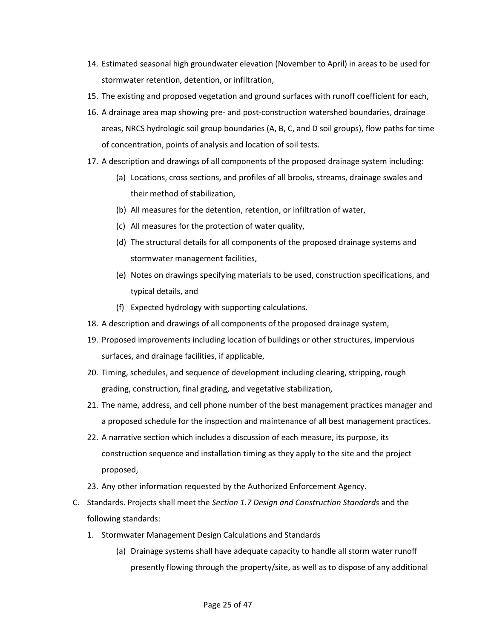- 14. Estimated seasonal high groundwater elevation (November to April) in areas to be used for stormwater retention, detention, or infiltration,
- 15. The existing and proposed vegetation and ground surfaces with runoff coefficient for each,
- 16. A drainage area map showing pre- and post-construction watershed boundaries, drainage areas, NRCS hydrologic soil group boundaries (A, B, C, and D soil groups), flow paths for time of concentration, points of analysis and location of soil tests.
- 17. A description and drawings of all components of the proposed drainage system including:
	- (a) Locations, cross sections, and profiles of all brooks, streams, drainage swales and their method of stabilization,
	- (b) All measures for the detention, retention, or infiltration of water,
	- (c) All measures for the protection of water quality,
	- (d) The structural details for all components of the proposed drainage systems and stormwater management facilities,
	- (e) Notes on drawings specifying materials to be used, construction specifications, and typical details, and
	- (f) Expected hydrology with supporting calculations.
- 18. A description and drawings of all components of the proposed drainage system,
- 19. Proposed improvements including location of buildings or other structures, impervious surfaces, and drainage facilities, if applicable,
- 20. Timing, schedules, and sequence of development including clearing, stripping, rough grading, construction, final grading, and vegetative stabilization,
- 21. The name, address, and cell phone number of the best management practices manager and a proposed schedule for the inspection and maintenance of all best management practices.
- 22. A narrative section which includes a discussion of each measure, its purpose, its construction sequence and installation timing as they apply to the site and the project proposed,
- 23. Any other information requested by the Authorized Enforcement Agency.
- C. Standards. Projects shall meet the *Section 1.7 Design and Construction Standards* and the following standards:
	- 1. Stormwater Management Design Calculations and Standards
		- (a) Drainage systems shall have adequate capacity to handle all storm water runoff presently flowing through the property/site, as well as to dispose of any additional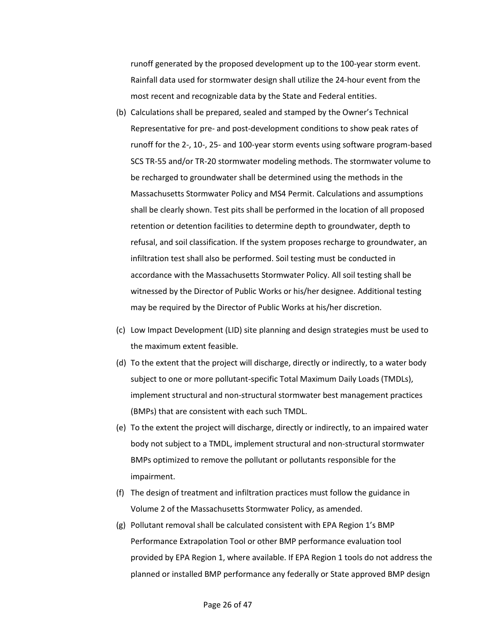runoff generated by the proposed development up to the 100-year storm event. Rainfall data used for stormwater design shall utilize the 24-hour event from the most recent and recognizable data by the State and Federal entities.

- (b) Calculations shall be prepared, sealed and stamped by the Owner's Technical Representative for pre- and post-development conditions to show peak rates of runoff for the 2-, 10-, 25- and 100-year storm events using software program-based SCS TR-55 and/or TR-20 stormwater modeling methods. The stormwater volume to be recharged to groundwater shall be determined using the methods in the Massachusetts Stormwater Policy and MS4 Permit. Calculations and assumptions shall be clearly shown. Test pits shall be performed in the location of all proposed retention or detention facilities to determine depth to groundwater, depth to refusal, and soil classification. If the system proposes recharge to groundwater, an infiltration test shall also be performed. Soil testing must be conducted in accordance with the Massachusetts Stormwater Policy. All soil testing shall be witnessed by the Director of Public Works or his/her designee. Additional testing may be required by the Director of Public Works at his/her discretion.
- (c) Low Impact Development (LID) site planning and design strategies must be used to the maximum extent feasible.
- (d) To the extent that the project will discharge, directly or indirectly, to a water body subject to one or more pollutant-specific Total Maximum Daily Loads (TMDLs), implement structural and non-structural stormwater best management practices (BMPs) that are consistent with each such TMDL.
- (e) To the extent the project will discharge, directly or indirectly, to an impaired water body not subject to a TMDL, implement structural and non-structural stormwater BMPs optimized to remove the pollutant or pollutants responsible for the impairment.
- (f) The design of treatment and infiltration practices must follow the guidance in Volume 2 of the Massachusetts Stormwater Policy, as amended.
- (g) Pollutant removal shall be calculated consistent with EPA Region 1's BMP Performance Extrapolation Tool or other BMP performance evaluation tool provided by EPA Region 1, where available. If EPA Region 1 tools do not address the planned or installed BMP performance any federally or State approved BMP design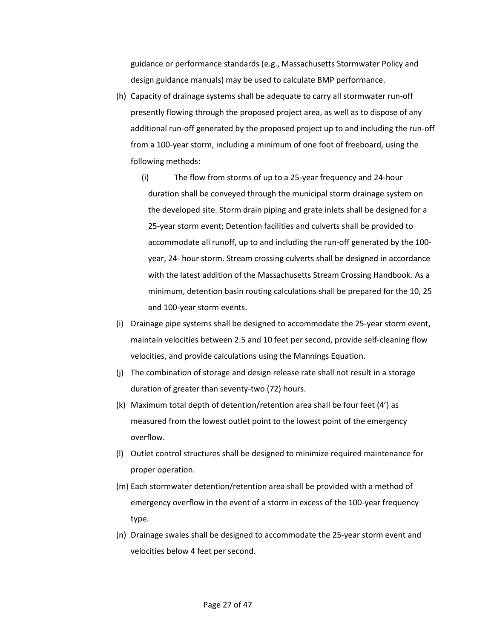guidance or performance standards (e.g., Massachusetts Stormwater Policy and design guidance manuals) may be used to calculate BMP performance.

- (h) Capacity of drainage systems shall be adequate to carry all stormwater run-off presently flowing through the proposed project area, as well as to dispose of any additional run-off generated by the proposed project up to and including the run-off from a 100-year storm, including a minimum of one foot of freeboard, using the following methods:
	- (i) The flow from storms of up to a 25-year frequency and 24-hour duration shall be conveyed through the municipal storm drainage system on the developed site. Storm drain piping and grate inlets shall be designed for a 25-year storm event; Detention facilities and culverts shall be provided to accommodate all runoff, up to and including the run-off generated by the 100 year, 24- hour storm. Stream crossing culverts shall be designed in accordance with the latest addition of the Massachusetts Stream Crossing Handbook. As a minimum, detention basin routing calculations shall be prepared for the 10, 25 and 100-year storm events.
- (i) Drainage pipe systems shall be designed to accommodate the 25-year storm event, maintain velocities between 2.5 and 10 feet per second, provide self-cleaning flow velocities, and provide calculations using the Mannings Equation.
- (j) The combination of storage and design release rate shall not result in a storage duration of greater than seventy-two (72) hours.
- (k) Maximum total depth of detention/retention area shall be four feet (4') as measured from the lowest outlet point to the lowest point of the emergency overflow.
- (l) Outlet control structures shall be designed to minimize required maintenance for proper operation.
- (m) Each stormwater detention/retention area shall be provided with a method of emergency overflow in the event of a storm in excess of the 100-year frequency type.
- (n) Drainage swales shall be designed to accommodate the 25-year storm event and velocities below 4 feet per second.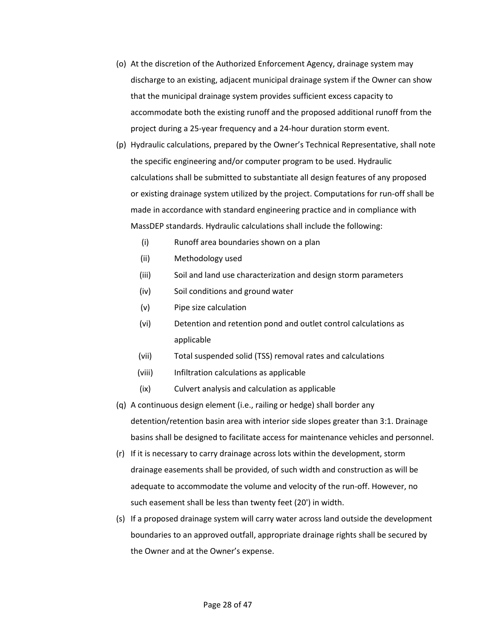- (o) At the discretion of the Authorized Enforcement Agency, drainage system may discharge to an existing, adjacent municipal drainage system if the Owner can show that the municipal drainage system provides sufficient excess capacity to accommodate both the existing runoff and the proposed additional runoff from the project during a 25-year frequency and a 24-hour duration storm event.
- (p) Hydraulic calculations, prepared by the Owner's Technical Representative, shall note the specific engineering and/or computer program to be used. Hydraulic calculations shall be submitted to substantiate all design features of any proposed or existing drainage system utilized by the project. Computations for run-off shall be made in accordance with standard engineering practice and in compliance with MassDEP standards. Hydraulic calculations shall include the following:
	- (i) Runoff area boundaries shown on a plan
	- (ii) Methodology used
	- (iii) Soil and land use characterization and design storm parameters
	- (iv) Soil conditions and ground water
	- (v) Pipe size calculation
	- (vi) Detention and retention pond and outlet control calculations as applicable
	- (vii) Total suspended solid (TSS) removal rates and calculations
	- (viii) Infiltration calculations as applicable
	- (ix) Culvert analysis and calculation as applicable
- (q) A continuous design element (i.e., railing or hedge) shall border any detention/retention basin area with interior side slopes greater than 3:1. Drainage basins shall be designed to facilitate access for maintenance vehicles and personnel.
- (r) If it is necessary to carry drainage across lots within the development, storm drainage easements shall be provided, of such width and construction as will be adequate to accommodate the volume and velocity of the run-off. However, no such easement shall be less than twenty feet (20') in width.
- (s) If a proposed drainage system will carry water across land outside the development boundaries to an approved outfall, appropriate drainage rights shall be secured by the Owner and at the Owner's expense.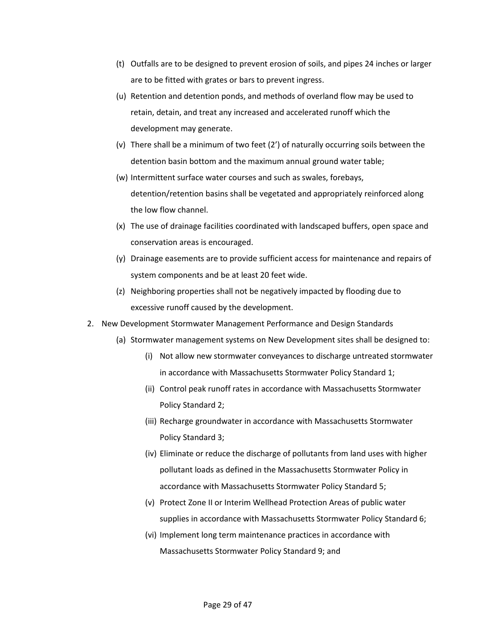- (t) Outfalls are to be designed to prevent erosion of soils, and pipes 24 inches or larger are to be fitted with grates or bars to prevent ingress.
- (u) Retention and detention ponds, and methods of overland flow may be used to retain, detain, and treat any increased and accelerated runoff which the development may generate.
- (v) There shall be a minimum of two feet (2') of naturally occurring soils between the detention basin bottom and the maximum annual ground water table;
- (w) Intermittent surface water courses and such as swales, forebays, detention/retention basins shall be vegetated and appropriately reinforced along the low flow channel.
- (x) The use of drainage facilities coordinated with landscaped buffers, open space and conservation areas is encouraged.
- (y) Drainage easements are to provide sufficient access for maintenance and repairs of system components and be at least 20 feet wide.
- (z) Neighboring properties shall not be negatively impacted by flooding due to excessive runoff caused by the development.
- 2. New Development Stormwater Management Performance and Design Standards
	- (a) Stormwater management systems on New Development sites shall be designed to:
		- (i) Not allow new stormwater conveyances to discharge untreated stormwater in accordance with Massachusetts Stormwater Policy Standard 1;
		- (ii) Control peak runoff rates in accordance with Massachusetts Stormwater Policy Standard 2;
		- (iii) Recharge groundwater in accordance with Massachusetts Stormwater Policy Standard 3;
		- (iv) Eliminate or reduce the discharge of pollutants from land uses with higher pollutant loads as defined in the Massachusetts Stormwater Policy in accordance with Massachusetts Stormwater Policy Standard 5;
		- (v) Protect Zone II or Interim Wellhead Protection Areas of public water supplies in accordance with Massachusetts Stormwater Policy Standard 6;
		- (vi) Implement long term maintenance practices in accordance with Massachusetts Stormwater Policy Standard 9; and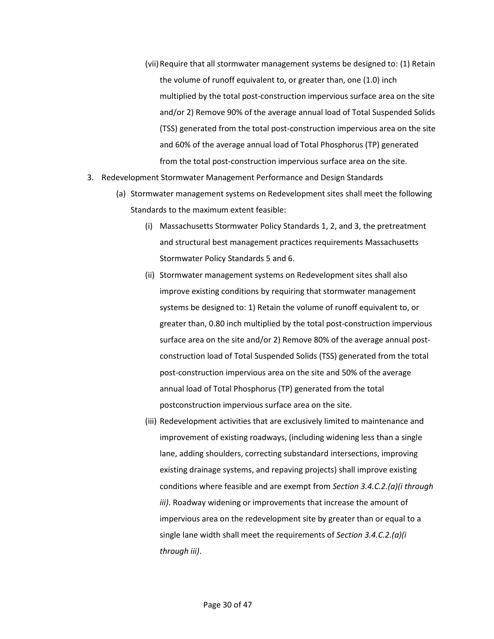- (vii)Require that all stormwater management systems be designed to: (1) Retain the volume of runoff equivalent to, or greater than, one (1.0) inch multiplied by the total post-construction impervious surface area on the site and/or 2) Remove 90% of the average annual load of Total Suspended Solids (TSS) generated from the total post-construction impervious area on the site and 60% of the average annual load of Total Phosphorus (TP) generated from the total post-construction impervious surface area on the site.
- 3. Redevelopment Stormwater Management Performance and Design Standards
	- (a) Stormwater management systems on Redevelopment sites shall meet the following Standards to the maximum extent feasible:
		- (i) Massachusetts Stormwater Policy Standards 1, 2, and 3, the pretreatment and structural best management practices requirements Massachusetts Stormwater Policy Standards 5 and 6.
		- (ii) Stormwater management systems on Redevelopment sites shall also improve existing conditions by requiring that stormwater management systems be designed to: 1) Retain the volume of runoff equivalent to, or greater than, 0.80 inch multiplied by the total post-construction impervious surface area on the site and/or 2) Remove 80% of the average annual postconstruction load of Total Suspended Solids (TSS) generated from the total post-construction impervious area on the site and 50% of the average annual load of Total Phosphorus (TP) generated from the total postconstruction impervious surface area on the site.
		- (iii) Redevelopment activities that are exclusively limited to maintenance and improvement of existing roadways, (including widening less than a single lane, adding shoulders, correcting substandard intersections, improving existing drainage systems, and repaving projects) shall improve existing conditions where feasible and are exempt from *Section 3.4.C.2.(a)(i through iii)*. Roadway widening or improvements that increase the amount of impervious area on the redevelopment site by greater than or equal to a single lane width shall meet the requirements of *Section 3.4.C.2.(a)(i through iii)*.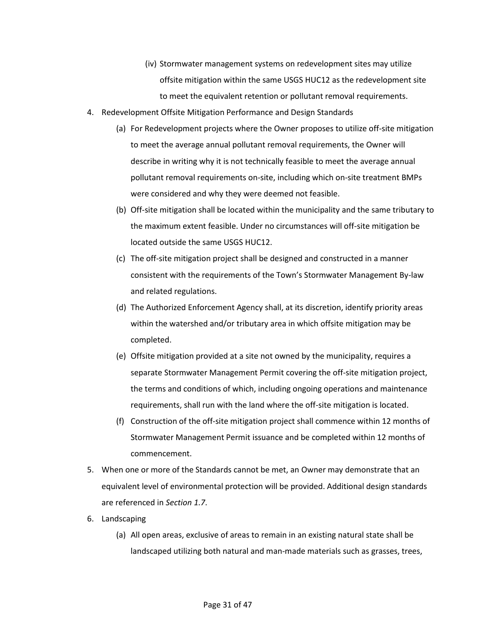- (iv) Stormwater management systems on redevelopment sites may utilize offsite mitigation within the same USGS HUC12 as the redevelopment site to meet the equivalent retention or pollutant removal requirements.
- 4. Redevelopment Offsite Mitigation Performance and Design Standards
	- (a) For Redevelopment projects where the Owner proposes to utilize off-site mitigation to meet the average annual pollutant removal requirements, the Owner will describe in writing why it is not technically feasible to meet the average annual pollutant removal requirements on-site, including which on-site treatment BMPs were considered and why they were deemed not feasible.
	- (b) Off-site mitigation shall be located within the municipality and the same tributary to the maximum extent feasible. Under no circumstances will off-site mitigation be located outside the same USGS HUC12.
	- (c) The off-site mitigation project shall be designed and constructed in a manner consistent with the requirements of the Town's Stormwater Management By-law and related regulations.
	- (d) The Authorized Enforcement Agency shall, at its discretion, identify priority areas within the watershed and/or tributary area in which offsite mitigation may be completed.
	- (e) Offsite mitigation provided at a site not owned by the municipality, requires a separate Stormwater Management Permit covering the off-site mitigation project, the terms and conditions of which, including ongoing operations and maintenance requirements, shall run with the land where the off-site mitigation is located.
	- (f) Construction of the off-site mitigation project shall commence within 12 months of Stormwater Management Permit issuance and be completed within 12 months of commencement.
- 5. When one or more of the Standards cannot be met, an Owner may demonstrate that an equivalent level of environmental protection will be provided. Additional design standards are referenced in *Section 1.7*.
- 6. Landscaping
	- (a) All open areas, exclusive of areas to remain in an existing natural state shall be landscaped utilizing both natural and man-made materials such as grasses, trees,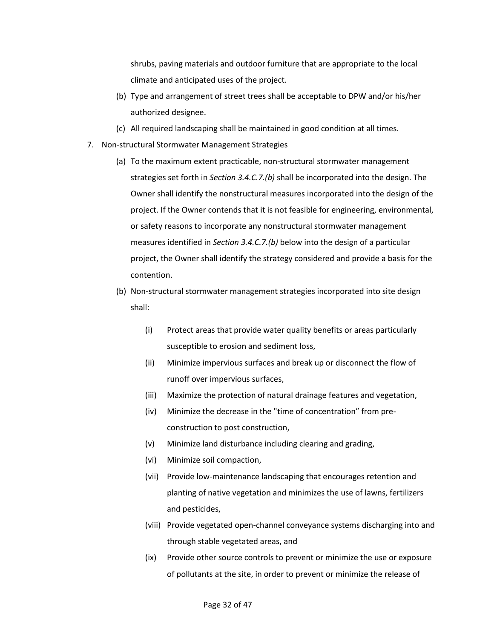shrubs, paving materials and outdoor furniture that are appropriate to the local climate and anticipated uses of the project.

- (b) Type and arrangement of street trees shall be acceptable to DPW and/or his/her authorized designee.
- (c) All required landscaping shall be maintained in good condition at all times.
- 7. Non-structural Stormwater Management Strategies
	- (a) To the maximum extent practicable, non-structural stormwater management strategies set forth in *Section 3.4.C.7.(b)* shall be incorporated into the design. The Owner shall identify the nonstructural measures incorporated into the design of the project. If the Owner contends that it is not feasible for engineering, environmental, or safety reasons to incorporate any nonstructural stormwater management measures identified in *Section 3.4.C.7.(b)* below into the design of a particular project, the Owner shall identify the strategy considered and provide a basis for the contention.
	- (b) Non-structural stormwater management strategies incorporated into site design shall:
		- (i) Protect areas that provide water quality benefits or areas particularly susceptible to erosion and sediment loss,
		- (ii) Minimize impervious surfaces and break up or disconnect the flow of runoff over impervious surfaces,
		- (iii) Maximize the protection of natural drainage features and vegetation,
		- (iv) Minimize the decrease in the "time of concentration" from preconstruction to post construction,
		- (v) Minimize land disturbance including clearing and grading,
		- (vi) Minimize soil compaction,
		- (vii) Provide low-maintenance landscaping that encourages retention and planting of native vegetation and minimizes the use of lawns, fertilizers and pesticides,
		- (viii) Provide vegetated open-channel conveyance systems discharging into and through stable vegetated areas, and
		- (ix) Provide other source controls to prevent or minimize the use or exposure of pollutants at the site, in order to prevent or minimize the release of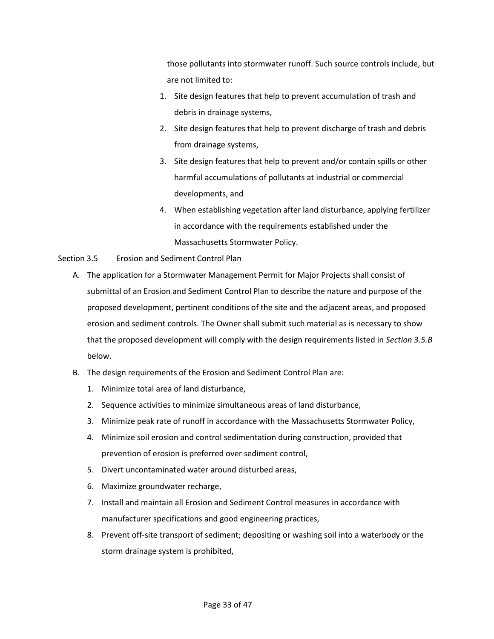those pollutants into stormwater runoff. Such source controls include, but are not limited to:

- 1. Site design features that help to prevent accumulation of trash and debris in drainage systems,
- 2. Site design features that help to prevent discharge of trash and debris from drainage systems,
- 3. Site design features that help to prevent and/or contain spills or other harmful accumulations of pollutants at industrial or commercial developments, and
- 4. When establishing vegetation after land disturbance, applying fertilizer in accordance with the requirements established under the Massachusetts Stormwater Policy.
- <span id="page-32-0"></span>Section 3.5 Erosion and Sediment Control Plan
	- A. The application for a Stormwater Management Permit for Major Projects shall consist of submittal of an Erosion and Sediment Control Plan to describe the nature and purpose of the proposed development, pertinent conditions of the site and the adjacent areas, and proposed erosion and sediment controls. The Owner shall submit such material as is necessary to show that the proposed development will comply with the design requirements listed in *Section 3.5.B* below.
	- B. The design requirements of the Erosion and Sediment Control Plan are:
		- 1. Minimize total area of land disturbance,
		- 2. Sequence activities to minimize simultaneous areas of land disturbance,
		- 3. Minimize peak rate of runoff in accordance with the Massachusetts Stormwater Policy,
		- 4. Minimize soil erosion and control sedimentation during construction, provided that prevention of erosion is preferred over sediment control,
		- 5. Divert uncontaminated water around disturbed areas,
		- 6. Maximize groundwater recharge,
		- 7. Install and maintain all Erosion and Sediment Control measures in accordance with manufacturer specifications and good engineering practices,
		- 8. Prevent off-site transport of sediment; depositing or washing soil into a waterbody or the storm drainage system is prohibited,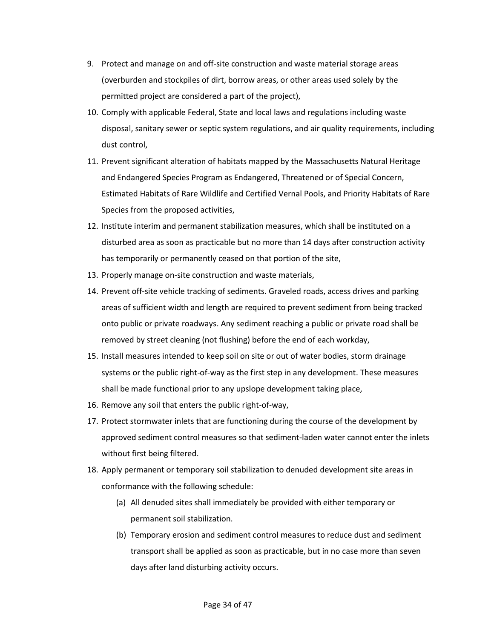- 9. Protect and manage on and off-site construction and waste material storage areas (overburden and stockpiles of dirt, borrow areas, or other areas used solely by the permitted project are considered a part of the project),
- 10. Comply with applicable Federal, State and local laws and regulations including waste disposal, sanitary sewer or septic system regulations, and air quality requirements, including dust control,
- 11. Prevent significant alteration of habitats mapped by the Massachusetts Natural Heritage and Endangered Species Program as Endangered, Threatened or of Special Concern, Estimated Habitats of Rare Wildlife and Certified Vernal Pools, and Priority Habitats of Rare Species from the proposed activities,
- 12. Institute interim and permanent stabilization measures, which shall be instituted on a disturbed area as soon as practicable but no more than 14 days after construction activity has temporarily or permanently ceased on that portion of the site,
- 13. Properly manage on-site construction and waste materials,
- 14. Prevent off-site vehicle tracking of sediments. Graveled roads, access drives and parking areas of sufficient width and length are required to prevent sediment from being tracked onto public or private roadways. Any sediment reaching a public or private road shall be removed by street cleaning (not flushing) before the end of each workday,
- 15. Install measures intended to keep soil on site or out of water bodies, storm drainage systems or the public right-of-way as the first step in any development. These measures shall be made functional prior to any upslope development taking place,
- 16. Remove any soil that enters the public right-of-way,
- 17. Protect stormwater inlets that are functioning during the course of the development by approved sediment control measures so that sediment-laden water cannot enter the inlets without first being filtered.
- 18. Apply permanent or temporary soil stabilization to denuded development site areas in conformance with the following schedule:
	- (a) All denuded sites shall immediately be provided with either temporary or permanent soil stabilization.
	- (b) Temporary erosion and sediment control measures to reduce dust and sediment transport shall be applied as soon as practicable, but in no case more than seven days after land disturbing activity occurs.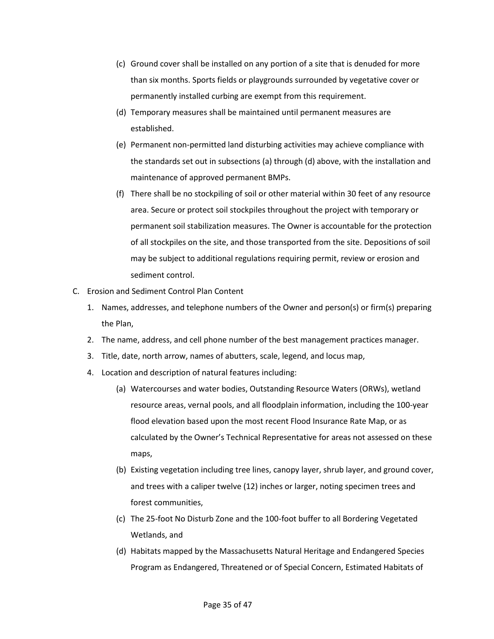- (c) Ground cover shall be installed on any portion of a site that is denuded for more than six months. Sports fields or playgrounds surrounded by vegetative cover or permanently installed curbing are exempt from this requirement.
- (d) Temporary measures shall be maintained until permanent measures are established.
- (e) Permanent non-permitted land disturbing activities may achieve compliance with the standards set out in subsections (a) through (d) above, with the installation and maintenance of approved permanent BMPs.
- (f) There shall be no stockpiling of soil or other material within 30 feet of any resource area. Secure or protect soil stockpiles throughout the project with temporary or permanent soil stabilization measures. The Owner is accountable for the protection of all stockpiles on the site, and those transported from the site. Depositions of soil may be subject to additional regulations requiring permit, review or erosion and sediment control.
- C. Erosion and Sediment Control Plan Content
	- 1. Names, addresses, and telephone numbers of the Owner and person(s) or firm(s) preparing the Plan,
	- 2. The name, address, and cell phone number of the best management practices manager.
	- 3. Title, date, north arrow, names of abutters, scale, legend, and locus map,
	- 4. Location and description of natural features including:
		- (a) Watercourses and water bodies, Outstanding Resource Waters (ORWs), wetland resource areas, vernal pools, and all floodplain information, including the 100-year flood elevation based upon the most recent Flood Insurance Rate Map, or as calculated by the Owner's Technical Representative for areas not assessed on these maps,
		- (b) Existing vegetation including tree lines, canopy layer, shrub layer, and ground cover, and trees with a caliper twelve (12) inches or larger, noting specimen trees and forest communities,
		- (c) The 25-foot No Disturb Zone and the 100-foot buffer to all Bordering Vegetated Wetlands, and
		- (d) Habitats mapped by the Massachusetts Natural Heritage and Endangered Species Program as Endangered, Threatened or of Special Concern, Estimated Habitats of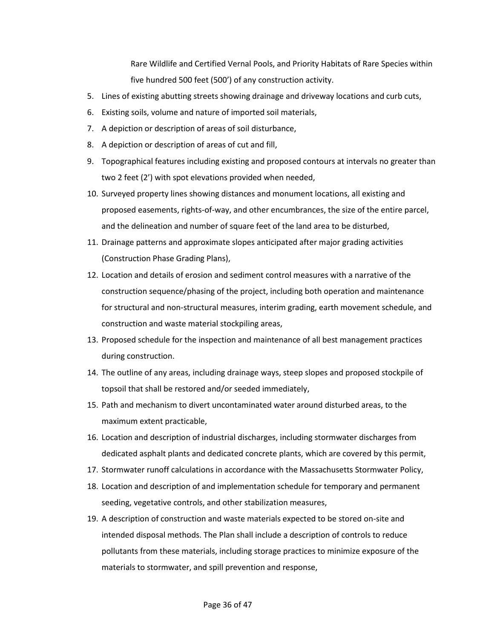Rare Wildlife and Certified Vernal Pools, and Priority Habitats of Rare Species within five hundred 500 feet (500') of any construction activity.

- 5. Lines of existing abutting streets showing drainage and driveway locations and curb cuts,
- 6. Existing soils, volume and nature of imported soil materials,
- 7. A depiction or description of areas of soil disturbance,
- 8. A depiction or description of areas of cut and fill,
- 9. Topographical features including existing and proposed contours at intervals no greater than two 2 feet (2') with spot elevations provided when needed,
- 10. Surveyed property lines showing distances and monument locations, all existing and proposed easements, rights-of-way, and other encumbrances, the size of the entire parcel, and the delineation and number of square feet of the land area to be disturbed,
- 11. Drainage patterns and approximate slopes anticipated after major grading activities (Construction Phase Grading Plans),
- 12. Location and details of erosion and sediment control measures with a narrative of the construction sequence/phasing of the project, including both operation and maintenance for structural and non-structural measures, interim grading, earth movement schedule, and construction and waste material stockpiling areas,
- 13. Proposed schedule for the inspection and maintenance of all best management practices during construction.
- 14. The outline of any areas, including drainage ways, steep slopes and proposed stockpile of topsoil that shall be restored and/or seeded immediately,
- 15. Path and mechanism to divert uncontaminated water around disturbed areas, to the maximum extent practicable,
- 16. Location and description of industrial discharges, including stormwater discharges from dedicated asphalt plants and dedicated concrete plants, which are covered by this permit,
- 17. Stormwater runoff calculations in accordance with the Massachusetts Stormwater Policy,
- 18. Location and description of and implementation schedule for temporary and permanent seeding, vegetative controls, and other stabilization measures,
- 19. A description of construction and waste materials expected to be stored on-site and intended disposal methods. The Plan shall include a description of controls to reduce pollutants from these materials, including storage practices to minimize exposure of the materials to stormwater, and spill prevention and response,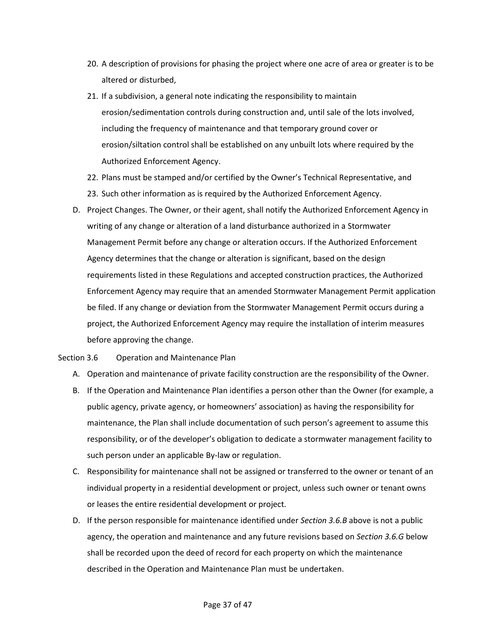- 20. A description of provisions for phasing the project where one acre of area or greater is to be altered or disturbed,
- 21. If a subdivision, a general note indicating the responsibility to maintain erosion/sedimentation controls during construction and, until sale of the lots involved, including the frequency of maintenance and that temporary ground cover or erosion/siltation control shall be established on any unbuilt lots where required by the Authorized Enforcement Agency.
- 22. Plans must be stamped and/or certified by the Owner's Technical Representative, and 23. Such other information as is required by the Authorized Enforcement Agency.
- D. Project Changes. The Owner, or their agent, shall notify the Authorized Enforcement Agency in writing of any change or alteration of a land disturbance authorized in a Stormwater Management Permit before any change or alteration occurs. If the Authorized Enforcement Agency determines that the change or alteration is significant, based on the design requirements listed in these Regulations and accepted construction practices, the Authorized Enforcement Agency may require that an amended Stormwater Management Permit application be filed. If any change or deviation from the Stormwater Management Permit occurs during a project, the Authorized Enforcement Agency may require the installation of interim measures before approving the change.

<span id="page-36-0"></span>Section 3.6 Operation and Maintenance Plan

- A. Operation and maintenance of private facility construction are the responsibility of the Owner.
- B. If the Operation and Maintenance Plan identifies a person other than the Owner (for example, a public agency, private agency, or homeowners' association) as having the responsibility for maintenance, the Plan shall include documentation of such person's agreement to assume this responsibility, or of the developer's obligation to dedicate a stormwater management facility to such person under an applicable By-law or regulation.
- C. Responsibility for maintenance shall not be assigned or transferred to the owner or tenant of an individual property in a residential development or project, unless such owner or tenant owns or leases the entire residential development or project.
- D. If the person responsible for maintenance identified under *Section 3.6.B* above is not a public agency, the operation and maintenance and any future revisions based on *Section 3.6.G* below shall be recorded upon the deed of record for each property on which the maintenance described in the Operation and Maintenance Plan must be undertaken.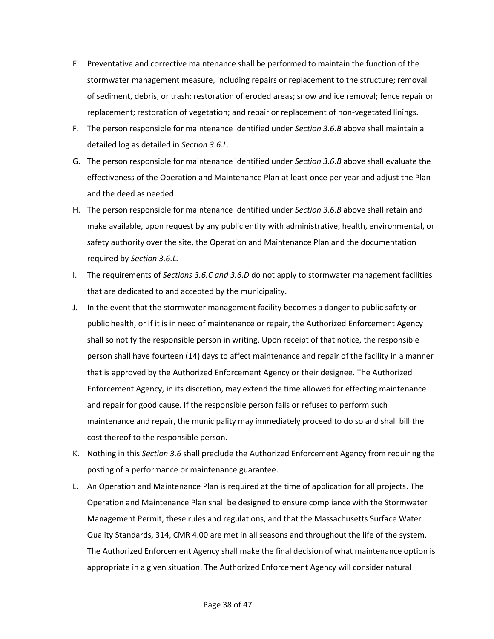- E. Preventative and corrective maintenance shall be performed to maintain the function of the stormwater management measure, including repairs or replacement to the structure; removal of sediment, debris, or trash; restoration of eroded areas; snow and ice removal; fence repair or replacement; restoration of vegetation; and repair or replacement of non-vegetated linings.
- F. The person responsible for maintenance identified under *Section 3.6.B* above shall maintain a detailed log as detailed in *Section 3.6.L*.
- G. The person responsible for maintenance identified under *Section 3.6.B* above shall evaluate the effectiveness of the Operation and Maintenance Plan at least once per year and adjust the Plan and the deed as needed.
- H. The person responsible for maintenance identified under *Section 3.6.B* above shall retain and make available, upon request by any public entity with administrative, health, environmental, or safety authority over the site, the Operation and Maintenance Plan and the documentation required by *Section 3.6.L.*
- I. The requirements of *Sections 3.6.C and 3.6.D* do not apply to stormwater management facilities that are dedicated to and accepted by the municipality.
- J. In the event that the stormwater management facility becomes a danger to public safety or public health, or if it is in need of maintenance or repair, the Authorized Enforcement Agency shall so notify the responsible person in writing. Upon receipt of that notice, the responsible person shall have fourteen (14) days to affect maintenance and repair of the facility in a manner that is approved by the Authorized Enforcement Agency or their designee. The Authorized Enforcement Agency, in its discretion, may extend the time allowed for effecting maintenance and repair for good cause. If the responsible person fails or refuses to perform such maintenance and repair, the municipality may immediately proceed to do so and shall bill the cost thereof to the responsible person.
- K. Nothing in this *Section 3.6* shall preclude the Authorized Enforcement Agency from requiring the posting of a performance or maintenance guarantee.
- L. An Operation and Maintenance Plan is required at the time of application for all projects. The Operation and Maintenance Plan shall be designed to ensure compliance with the Stormwater Management Permit, these rules and regulations, and that the Massachusetts Surface Water Quality Standards, 314, CMR 4.00 are met in all seasons and throughout the life of the system. The Authorized Enforcement Agency shall make the final decision of what maintenance option is appropriate in a given situation. The Authorized Enforcement Agency will consider natural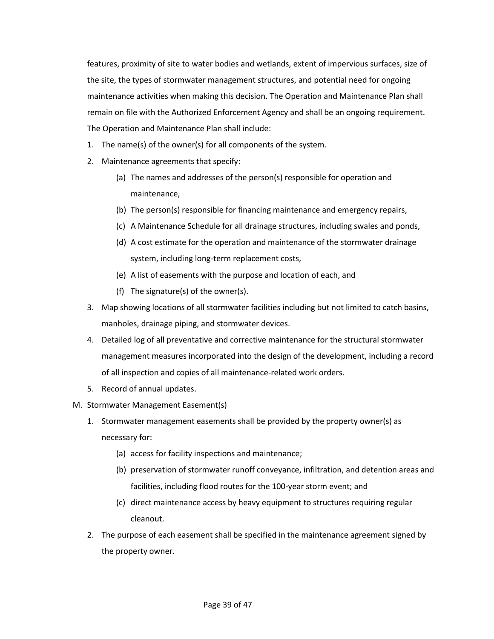features, proximity of site to water bodies and wetlands, extent of impervious surfaces, size of the site, the types of stormwater management structures, and potential need for ongoing maintenance activities when making this decision. The Operation and Maintenance Plan shall remain on file with the Authorized Enforcement Agency and shall be an ongoing requirement. The Operation and Maintenance Plan shall include:

- 1. The name(s) of the owner(s) for all components of the system.
- 2. Maintenance agreements that specify:
	- (a) The names and addresses of the person(s) responsible for operation and maintenance,
	- (b) The person(s) responsible for financing maintenance and emergency repairs,
	- (c) A Maintenance Schedule for all drainage structures, including swales and ponds,
	- (d) A cost estimate for the operation and maintenance of the stormwater drainage system, including long-term replacement costs,
	- (e) A list of easements with the purpose and location of each, and
	- (f) The signature(s) of the owner(s).
- 3. Map showing locations of all stormwater facilities including but not limited to catch basins, manholes, drainage piping, and stormwater devices.
- 4. Detailed log of all preventative and corrective maintenance for the structural stormwater management measures incorporated into the design of the development, including a record of all inspection and copies of all maintenance-related work orders.
- 5. Record of annual updates.
- M. Stormwater Management Easement(s)
	- 1. Stormwater management easements shall be provided by the property owner(s) as necessary for:
		- (a) access for facility inspections and maintenance;
		- (b) preservation of stormwater runoff conveyance, infiltration, and detention areas and facilities, including flood routes for the 100-year storm event; and
		- (c) direct maintenance access by heavy equipment to structures requiring regular cleanout.
	- 2. The purpose of each easement shall be specified in the maintenance agreement signed by the property owner.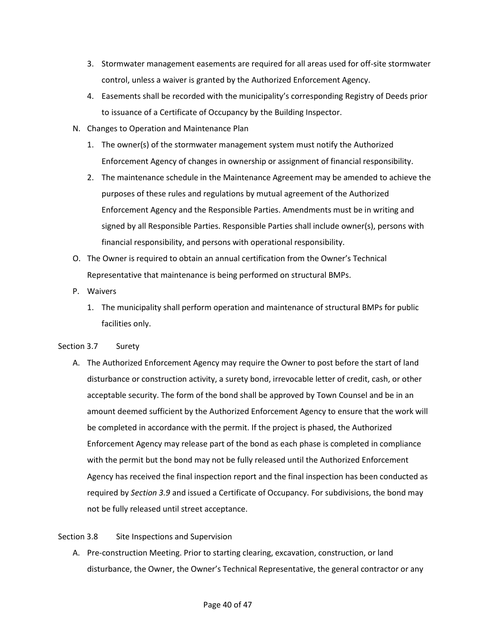- 3. Stormwater management easements are required for all areas used for off-site stormwater control, unless a waiver is granted by the Authorized Enforcement Agency.
- 4. Easements shall be recorded with the municipality's corresponding Registry of Deeds prior to issuance of a Certificate of Occupancy by the Building Inspector.
- N. Changes to Operation and Maintenance Plan
	- 1. The owner(s) of the stormwater management system must notify the Authorized Enforcement Agency of changes in ownership or assignment of financial responsibility.
	- 2. The maintenance schedule in the Maintenance Agreement may be amended to achieve the purposes of these rules and regulations by mutual agreement of the Authorized Enforcement Agency and the Responsible Parties. Amendments must be in writing and signed by all Responsible Parties. Responsible Parties shall include owner(s), persons with financial responsibility, and persons with operational responsibility.
- O. The Owner is required to obtain an annual certification from the Owner's Technical Representative that maintenance is being performed on structural BMPs.
- P. Waivers
	- 1. The municipality shall perform operation and maintenance of structural BMPs for public facilities only.

# <span id="page-39-0"></span>Section 3.7 Surety

A. The Authorized Enforcement Agency may require the Owner to post before the start of land disturbance or construction activity, a surety bond, irrevocable letter of credit, cash, or other acceptable security. The form of the bond shall be approved by Town Counsel and be in an amount deemed sufficient by the Authorized Enforcement Agency to ensure that the work will be completed in accordance with the permit. If the project is phased, the Authorized Enforcement Agency may release part of the bond as each phase is completed in compliance with the permit but the bond may not be fully released until the Authorized Enforcement Agency has received the final inspection report and the final inspection has been conducted as required by *Section 3.9* and issued a Certificate of Occupancy. For subdivisions, the bond may not be fully released until street acceptance.

# <span id="page-39-1"></span>Section 3.8 Site Inspections and Supervision

A. Pre-construction Meeting. Prior to starting clearing, excavation, construction, or land disturbance, the Owner, the Owner's Technical Representative, the general contractor or any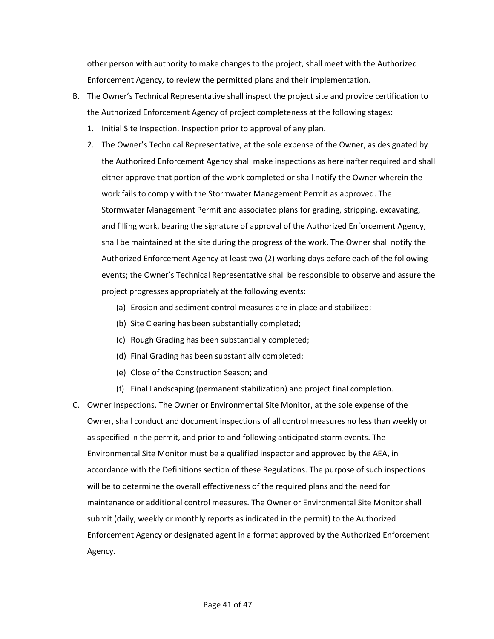other person with authority to make changes to the project, shall meet with the Authorized Enforcement Agency, to review the permitted plans and their implementation.

- B. The Owner's Technical Representative shall inspect the project site and provide certification to the Authorized Enforcement Agency of project completeness at the following stages:
	- 1. Initial Site Inspection. Inspection prior to approval of any plan.
	- 2. The Owner's Technical Representative, at the sole expense of the Owner, as designated by the Authorized Enforcement Agency shall make inspections as hereinafter required and shall either approve that portion of the work completed or shall notify the Owner wherein the work fails to comply with the Stormwater Management Permit as approved. The Stormwater Management Permit and associated plans for grading, stripping, excavating, and filling work, bearing the signature of approval of the Authorized Enforcement Agency, shall be maintained at the site during the progress of the work. The Owner shall notify the Authorized Enforcement Agency at least two (2) working days before each of the following events; the Owner's Technical Representative shall be responsible to observe and assure the project progresses appropriately at the following events:
		- (a) Erosion and sediment control measures are in place and stabilized;
		- (b) Site Clearing has been substantially completed;
		- (c) Rough Grading has been substantially completed;
		- (d) Final Grading has been substantially completed;
		- (e) Close of the Construction Season; and
		- (f) Final Landscaping (permanent stabilization) and project final completion.
- C. Owner Inspections. The Owner or Environmental Site Monitor, at the sole expense of the Owner, shall conduct and document inspections of all control measures no less than weekly or as specified in the permit, and prior to and following anticipated storm events. The Environmental Site Monitor must be a qualified inspector and approved by the AEA, in accordance with the Definitions section of these Regulations. The purpose of such inspections will be to determine the overall effectiveness of the required plans and the need for maintenance or additional control measures. The Owner or Environmental Site Monitor shall submit (daily, weekly or monthly reports as indicated in the permit) to the Authorized Enforcement Agency or designated agent in a format approved by the Authorized Enforcement Agency.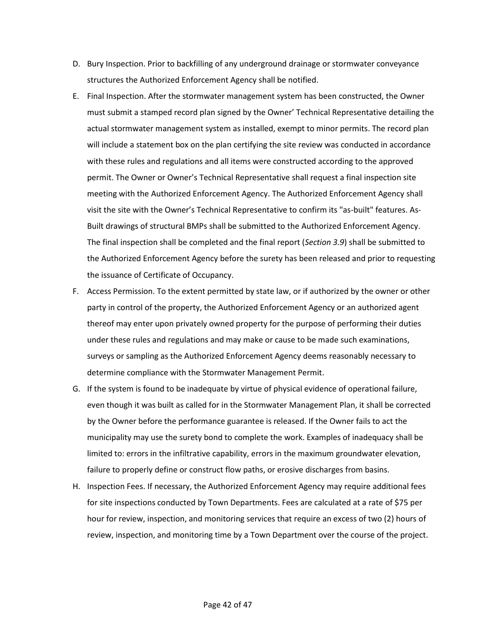- D. Bury Inspection. Prior to backfilling of any underground drainage or stormwater conveyance structures the Authorized Enforcement Agency shall be notified.
- E. Final Inspection. After the stormwater management system has been constructed, the Owner must submit a stamped record plan signed by the Owner' Technical Representative detailing the actual stormwater management system as installed, exempt to minor permits. The record plan will include a statement box on the plan certifying the site review was conducted in accordance with these rules and regulations and all items were constructed according to the approved permit. The Owner or Owner's Technical Representative shall request a final inspection site meeting with the Authorized Enforcement Agency. The Authorized Enforcement Agency shall visit the site with the Owner's Technical Representative to confirm its "as-built" features. As-Built drawings of structural BMPs shall be submitted to the Authorized Enforcement Agency. The final inspection shall be completed and the final report (*Section 3.9*) shall be submitted to the Authorized Enforcement Agency before the surety has been released and prior to requesting the issuance of Certificate of Occupancy.
- F. Access Permission. To the extent permitted by state law, or if authorized by the owner or other party in control of the property, the Authorized Enforcement Agency or an authorized agent thereof may enter upon privately owned property for the purpose of performing their duties under these rules and regulations and may make or cause to be made such examinations, surveys or sampling as the Authorized Enforcement Agency deems reasonably necessary to determine compliance with the Stormwater Management Permit.
- G. If the system is found to be inadequate by virtue of physical evidence of operational failure, even though it was built as called for in the Stormwater Management Plan, it shall be corrected by the Owner before the performance guarantee is released. If the Owner fails to act the municipality may use the surety bond to complete the work. Examples of inadequacy shall be limited to: errors in the infiltrative capability, errors in the maximum groundwater elevation, failure to properly define or construct flow paths, or erosive discharges from basins.
- H. Inspection Fees. If necessary, the Authorized Enforcement Agency may require additional fees for site inspections conducted by Town Departments. Fees are calculated at a rate of \$75 per hour for review, inspection, and monitoring services that require an excess of two (2) hours of review, inspection, and monitoring time by a Town Department over the course of the project.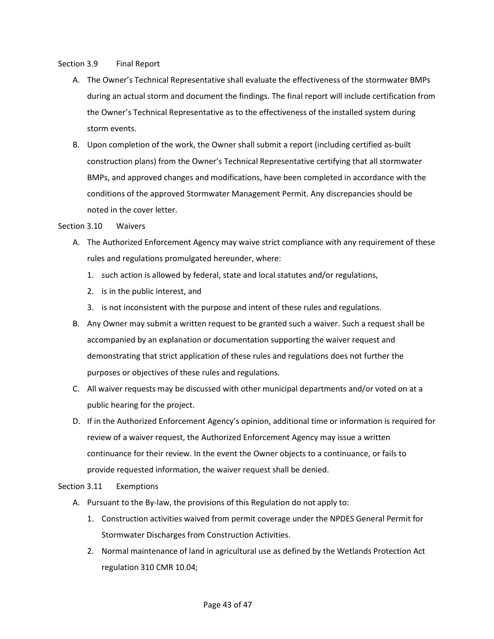# <span id="page-42-0"></span>Section 3.9 Final Report

- A. The Owner's Technical Representative shall evaluate the effectiveness of the stormwater BMPs during an actual storm and document the findings. The final report will include certification from the Owner's Technical Representative as to the effectiveness of the installed system during storm events.
- B. Upon completion of the work, the Owner shall submit a report (including certified as-built construction plans) from the Owner's Technical Representative certifying that all stormwater BMPs, and approved changes and modifications, have been completed in accordance with the conditions of the approved Stormwater Management Permit. Any discrepancies should be noted in the cover letter.

# <span id="page-42-1"></span>Section 3.10 Waivers

- A. The Authorized Enforcement Agency may waive strict compliance with any requirement of these rules and regulations promulgated hereunder, where:
	- 1. such action is allowed by federal, state and local statutes and/or regulations,
	- 2. is in the public interest, and
	- 3. is not inconsistent with the purpose and intent of these rules and regulations.
- B. Any Owner may submit a written request to be granted such a waiver. Such a request shall be accompanied by an explanation or documentation supporting the waiver request and demonstrating that strict application of these rules and regulations does not further the purposes or objectives of these rules and regulations.
- C. All waiver requests may be discussed with other municipal departments and/or voted on at a public hearing for the project.
- D. If in the Authorized Enforcement Agency's opinion, additional time or information is required for review of a waiver request, the Authorized Enforcement Agency may issue a written continuance for their review. In the event the Owner objects to a continuance, or fails to provide requested information, the waiver request shall be denied.

# <span id="page-42-2"></span>Section 3.11 Exemptions

- A. Pursuant to the By-law, the provisions of this Regulation do not apply to:
	- 1. Construction activities waived from permit coverage under the NPDES General Permit for Stormwater Discharges from Construction Activities.
	- 2. Normal maintenance of land in agricultural use as defined by the Wetlands Protection Act regulation 310 CMR 10.04;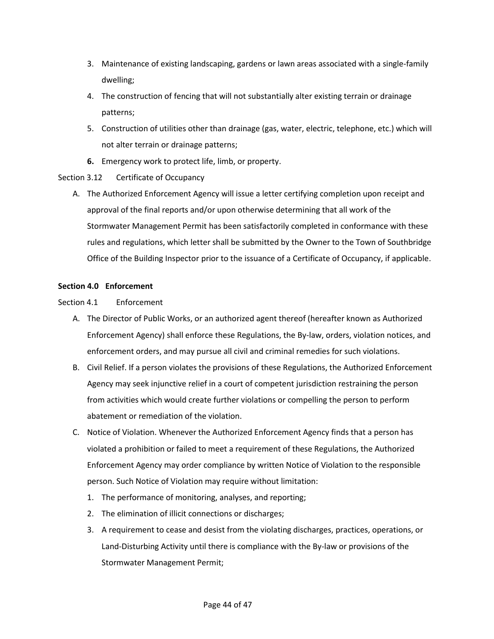- 3. Maintenance of existing landscaping, gardens or lawn areas associated with a single-family dwelling;
- 4. The construction of fencing that will not substantially alter existing terrain or drainage patterns;
- 5. Construction of utilities other than drainage (gas, water, electric, telephone, etc.) which will not alter terrain or drainage patterns;
- **6.** Emergency work to protect life, limb, or property.

# <span id="page-43-0"></span>Section 3.12 Certificate of Occupancy

A. The Authorized Enforcement Agency will issue a letter certifying completion upon receipt and approval of the final reports and/or upon otherwise determining that all work of the Stormwater Management Permit has been satisfactorily completed in conformance with these rules and regulations, which letter shall be submitted by the Owner to the Town of Southbridge Office of the Building Inspector prior to the issuance of a Certificate of Occupancy, if applicable.

# <span id="page-43-1"></span>**Section 4.0 Enforcement**

# <span id="page-43-2"></span>Section 4.1 Enforcement

- A. The Director of Public Works, or an authorized agent thereof (hereafter known as Authorized Enforcement Agency) shall enforce these Regulations, the By-law, orders, violation notices, and enforcement orders, and may pursue all civil and criminal remedies for such violations.
- B. Civil Relief. If a person violates the provisions of these Regulations, the Authorized Enforcement Agency may seek injunctive relief in a court of competent jurisdiction restraining the person from activities which would create further violations or compelling the person to perform abatement or remediation of the violation.
- C. Notice of Violation. Whenever the Authorized Enforcement Agency finds that a person has violated a prohibition or failed to meet a requirement of these Regulations, the Authorized Enforcement Agency may order compliance by written Notice of Violation to the responsible person. Such Notice of Violation may require without limitation:
	- 1. The performance of monitoring, analyses, and reporting;
	- 2. The elimination of illicit connections or discharges;
	- 3. A requirement to cease and desist from the violating discharges, practices, operations, or Land-Disturbing Activity until there is compliance with the By-law or provisions of the Stormwater Management Permit;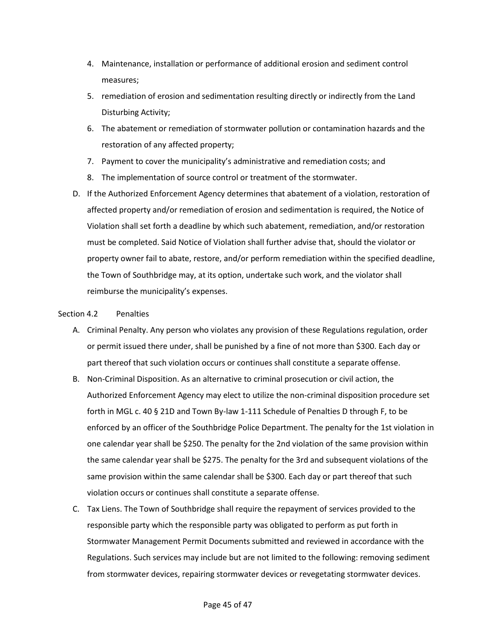- 4. Maintenance, installation or performance of additional erosion and sediment control measures;
- 5. remediation of erosion and sedimentation resulting directly or indirectly from the Land Disturbing Activity;
- 6. The abatement or remediation of stormwater pollution or contamination hazards and the restoration of any affected property;
- 7. Payment to cover the municipality's administrative and remediation costs; and
- 8. The implementation of source control or treatment of the stormwater.
- D. If the Authorized Enforcement Agency determines that abatement of a violation, restoration of affected property and/or remediation of erosion and sedimentation is required, the Notice of Violation shall set forth a deadline by which such abatement, remediation, and/or restoration must be completed. Said Notice of Violation shall further advise that, should the violator or property owner fail to abate, restore, and/or perform remediation within the specified deadline, the Town of Southbridge may, at its option, undertake such work, and the violator shall reimburse the municipality's expenses.

# <span id="page-44-0"></span>Section 4.2 Penalties

- A. Criminal Penalty. Any person who violates any provision of these Regulations regulation, order or permit issued there under, shall be punished by a fine of not more than \$300. Each day or part thereof that such violation occurs or continues shall constitute a separate offense.
- B. Non-Criminal Disposition. As an alternative to criminal prosecution or civil action, the Authorized Enforcement Agency may elect to utilize the non-criminal disposition procedure set forth in MGL c. 40 § 21D and Town By-law 1-111 Schedule of Penalties D through F, to be enforced by an officer of the Southbridge Police Department. The penalty for the 1st violation in one calendar year shall be \$250. The penalty for the 2nd violation of the same provision within the same calendar year shall be \$275. The penalty for the 3rd and subsequent violations of the same provision within the same calendar shall be \$300. Each day or part thereof that such violation occurs or continues shall constitute a separate offense.
- C. Tax Liens. The Town of Southbridge shall require the repayment of services provided to the responsible party which the responsible party was obligated to perform as put forth in Stormwater Management Permit Documents submitted and reviewed in accordance with the Regulations. Such services may include but are not limited to the following: removing sediment from stormwater devices, repairing stormwater devices or revegetating stormwater devices.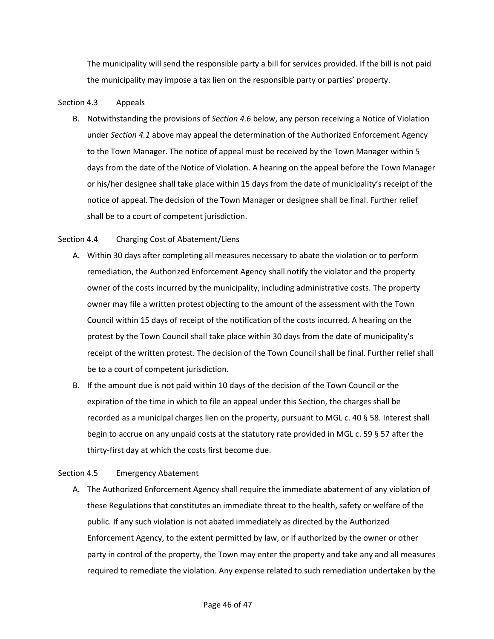The municipality will send the responsible party a bill for services provided. If the bill is not paid the municipality may impose a tax lien on the responsible party or parties' property.

# <span id="page-45-0"></span>Section 4.3 Appeals

B. Notwithstanding the provisions of *Section 4.6* below, any person receiving a Notice of Violation under *Section 4.1* above may appeal the determination of the Authorized Enforcement Agency to the Town Manager. The notice of appeal must be received by the Town Manager within 5 days from the date of the Notice of Violation. A hearing on the appeal before the Town Manager or his/her designee shall take place within 15 days from the date of municipality's receipt of the notice of appeal. The decision of the Town Manager or designee shall be final. Further relief shall be to a court of competent jurisdiction.

# <span id="page-45-1"></span>Section 4.4 Charging Cost of Abatement/Liens

- A. Within 30 days after completing all measures necessary to abate the violation or to perform remediation, the Authorized Enforcement Agency shall notify the violator and the property owner of the costs incurred by the municipality, including administrative costs. The property owner may file a written protest objecting to the amount of the assessment with the Town Council within 15 days of receipt of the notification of the costs incurred. A hearing on the protest by the Town Council shall take place within 30 days from the date of municipality's receipt of the written protest. The decision of the Town Council shall be final. Further relief shall be to a court of competent jurisdiction.
- B. If the amount due is not paid within 10 days of the decision of the Town Council or the expiration of the time in which to file an appeal under this Section, the charges shall be recorded as a municipal charges lien on the property, pursuant to MGL c. 40 § 58. Interest shall begin to accrue on any unpaid costs at the statutory rate provided in MGL c. 59 § 57 after the thirty-first day at which the costs first become due.

# <span id="page-45-2"></span>Section 4.5 Emergency Abatement

A. The Authorized Enforcement Agency shall require the immediate abatement of any violation of these Regulations that constitutes an immediate threat to the health, safety or welfare of the public. If any such violation is not abated immediately as directed by the Authorized Enforcement Agency, to the extent permitted by law, or if authorized by the owner or other party in control of the property, the Town may enter the property and take any and all measures required to remediate the violation. Any expense related to such remediation undertaken by the